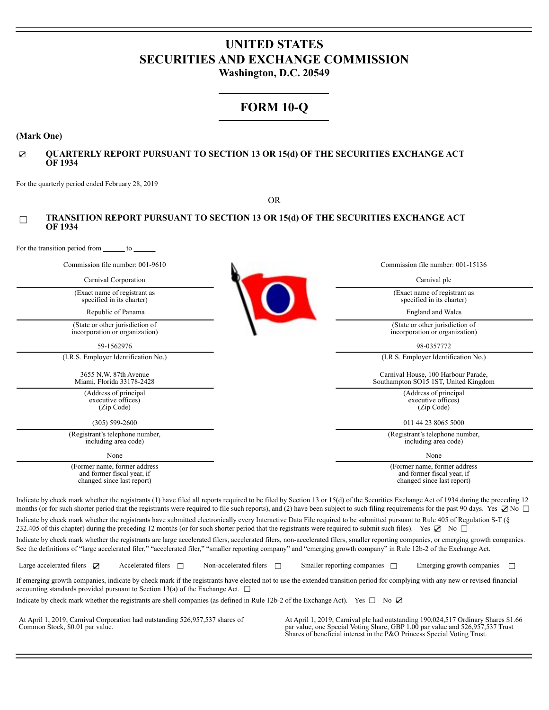# **UNITED STATES SECURITIES AND EXCHANGE COMMISSION**

**Washington, D.C. 20549**

# **FORM 10-Q**

**(Mark One)**

#### **QUARTERLY REPORT PURSUANT TO SECTION 13 OR 15(d) OF THE SECURITIES EXCHANGE ACT**  $\triangledown$ **OF 1934**

For the quarterly period ended February 28, 2019

OR

#### **TRANSITION REPORT PURSUANT TO SECTION 13 OR 15(d) OF THE SECURITIES EXCHANGE ACT**  $\Box$ **OF 1934**

For the transition period from \_\_\_\_\_\_ to \_\_\_\_\_

Commission file number: 001-9610 Commission file number: 001-15136

Carnival Corporation Carnival Property and the Carnival plc Carnival plc Carnival plc

(Exact name of registrant as specified in its charter)

Republic of Panama England and Wales

(State or other jurisdiction of incorporation or organization)

59-1562976 98-0357772

(I.R.S. Employer Identification No.) (I.R.S. Employer Identification No.)

3655 N.W. 87th Avenue Miami, Florida 33178-2428

(Address of principal executive offices) (Zip Code)

(305) 599-2600 011 44 23 8065 5000

(Registrant's telephone number, including area code)

None None

(Former name, former address and former fiscal year, if changed since last report)

Indicate by check mark whether the registrants (1) have filed all reports required to be filed by Section 13 or 15(d) of the Securities Exchange Act of 1934 during the preceding 12 months (or for such shorter period that the registrants were required to file such reports), and (2) have been subject to such filing requirements for the past 90 days. Yes  $\boxtimes$  No  $\Box$ 

Indicate by check mark whether the registrants have submitted electronically every Interactive Data File required to be submitted pursuant to Rule 405 of Regulation S-T (§ 232.405 of this chapter) during the preceding 12 months (or for such shorter period that the registrants were required to submit such files). Yes  $\boxtimes$  No  $\square$ 

Indicate by check mark whether the registrants are large accelerated filers, accelerated filers, non-accelerated filers, smaller reporting companies, or emerging growth companies. See the definitions of "large accelerated filer," "accelerated filer," "smaller reporting company" and "emerging growth company" in Rule 12b-2 of the Exchange Act.

Large accelerated filers  $\Box$  Accelerated filers  $\Box$  Smaller reporting companies  $\Box$  Emerging growth companies

 $\Box$ 

(Exact name of registrant as specified in its charter)

(State or other jurisdiction of incorporation or organization)

Carnival House, 100 Harbour Parade, Southampton SO15 1ST, United Kingdom

> (Address of principal executive offices) (Zip Code)

(Registrant's telephone number, including area code)

(Former name, former address and former fiscal year, if changed since last report)

If emerging growth companies, indicate by check mark if the registrants have elected not to use the extended transition period for complying with any new or revised financial accounting standards provided pursuant to Section 13(a) of the Exchange Act.  $\Box$ 

Indicate by check mark whether the registrants are shell companies (as defined in Rule 12b-2 of the Exchange Act). Yes  $\Box$  No  $\Box$ 

At April 1, 2019, Carnival Corporation had outstanding 526,957,537 shares of Common Stock, \$0.01 par value.

At April 1, 2019, Carnival plc had outstanding 190,024,517 Ordinary Shares \$1.66 par value, one Special Voting Share, GBP 1.00 par value and 526,957,537 Trust Shares of beneficial interest in the P&O Princess Special Voting Trust.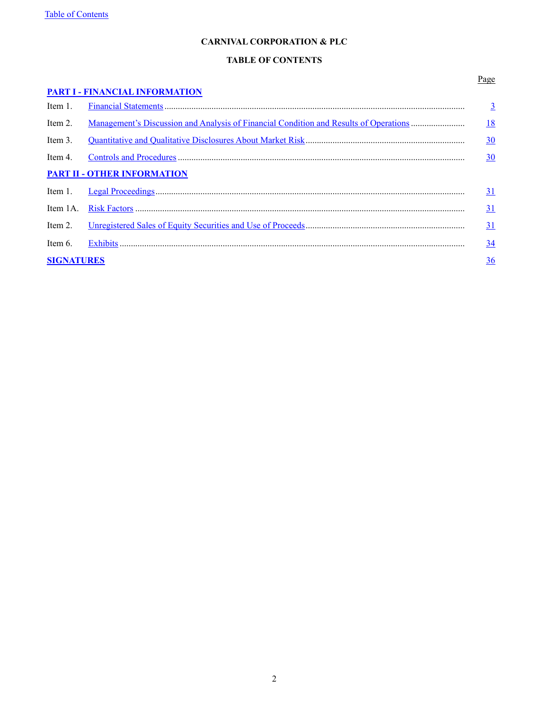Table of Contents

# **CARNIVAL CORPORATION & PLC**

# **TABLE OF CONTENTS**

Page

# **PART I - FINANCIAL INFORMATION**

| Item 1.           |                                                                                       | $\overline{3}$   |
|-------------------|---------------------------------------------------------------------------------------|------------------|
| Item 2.           | Management's Discussion and Analysis of Financial Condition and Results of Operations | <u>18</u>        |
| Item 3.           |                                                                                       | 30               |
| Item 4.           |                                                                                       | 30               |
|                   | <b>PART II - OTHER INFORMATION</b>                                                    |                  |
| Item 1.           |                                                                                       | <u>31</u>        |
| Item 1A.          |                                                                                       | <u>31</u>        |
| Item 2.           |                                                                                       | 31               |
| Item 6.           |                                                                                       | $\underline{34}$ |
| <b>SIGNATURES</b> |                                                                                       | $\frac{36}{5}$   |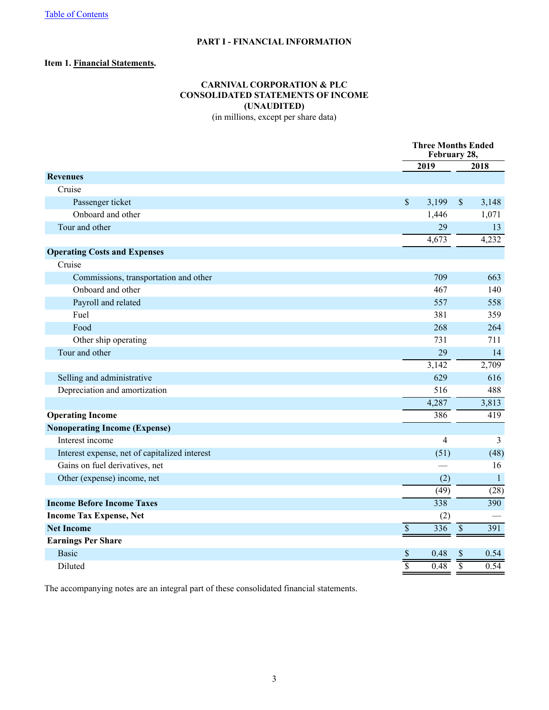# **PART I - FINANCIAL INFORMATION**

# <span id="page-2-0"></span>**Item 1. Financial Statements.**

# **CARNIVAL CORPORATION & PLC CONSOLIDATED STATEMENTS OF INCOME (UNAUDITED)**

(in millions, except per share data)

|                                               |                                              | <b>Three Months Ended</b><br>February 28,    |
|-----------------------------------------------|----------------------------------------------|----------------------------------------------|
|                                               | 2019                                         | 2018                                         |
| <b>Revenues</b>                               |                                              |                                              |
| Cruise                                        |                                              |                                              |
| Passenger ticket                              | $\$$<br>3,199                                | \$<br>3,148                                  |
| Onboard and other                             | 1,446                                        | 1,071                                        |
| Tour and other                                | 29                                           | 13                                           |
|                                               | 4,673                                        | 4,232                                        |
| <b>Operating Costs and Expenses</b>           |                                              |                                              |
| Cruise                                        |                                              |                                              |
| Commissions, transportation and other         | 709                                          | 663                                          |
| Onboard and other                             | 467                                          | 140                                          |
| Payroll and related                           | 557                                          | 558                                          |
| Fuel                                          | 381                                          | 359                                          |
| Food                                          | 268                                          | 264                                          |
| Other ship operating                          | 731                                          | 711                                          |
| Tour and other                                | 29                                           | 14                                           |
|                                               | 3,142                                        | 2,709                                        |
| Selling and administrative                    | 629                                          | 616                                          |
| Depreciation and amortization                 | 516                                          | 488                                          |
|                                               | 4,287                                        | 3,813                                        |
| <b>Operating Income</b>                       | 386                                          | 419                                          |
| <b>Nonoperating Income (Expense)</b>          |                                              |                                              |
| Interest income                               | 4                                            | $\mathfrak{Z}$                               |
| Interest expense, net of capitalized interest | (51)                                         | (48)                                         |
| Gains on fuel derivatives, net                |                                              | 16                                           |
| Other (expense) income, net                   | (2)                                          | $\mathbf{1}$                                 |
|                                               | $\overline{(49)}$                            | (28)                                         |
| <b>Income Before Income Taxes</b>             | 338                                          | 390                                          |
| <b>Income Tax Expense, Net</b>                | (2)                                          |                                              |
| <b>Net Income</b>                             | $\overline{\mathcal{S}}$<br>$\overline{336}$ | $\overline{\mathcal{S}}$<br>$\overline{391}$ |
| <b>Earnings Per Share</b>                     |                                              |                                              |
| <b>Basic</b>                                  | \$<br>0.48                                   | \$<br>0.54                                   |
| Diluted                                       | $\overline{s}$<br>0.48                       | 0.54                                         |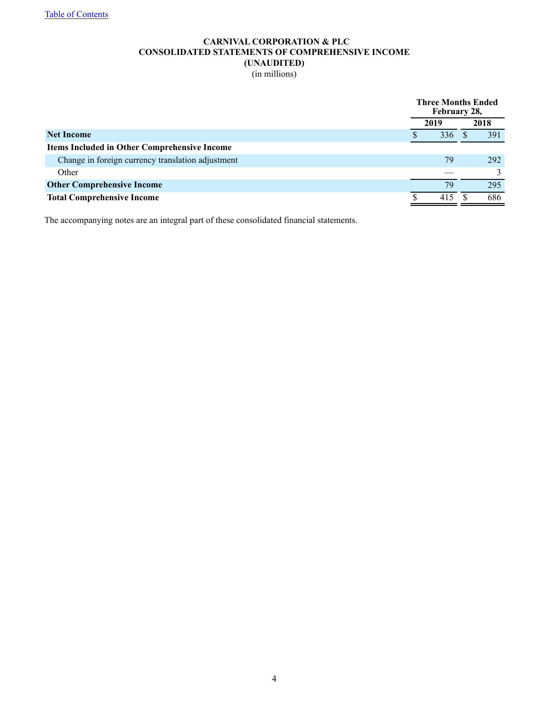# **CARNIVAL CORPORATION & PLC CONSOLIDATED STATEMENTS OF COMPREHENSIVE INCOME (UNAUDITED)**

(in millions)

|                                                     | <b>Three Months Ended</b><br>February 28, |      |  |
|-----------------------------------------------------|-------------------------------------------|------|--|
|                                                     | 2019                                      | 2018 |  |
| <b>Net Income</b>                                   | 336                                       | 391  |  |
| <b>Items Included in Other Comprehensive Income</b> |                                           |      |  |
| Change in foreign currency translation adjustment   | 79                                        | 292  |  |
| Other                                               |                                           |      |  |
| <b>Other Comprehensive Income</b>                   | 79                                        | 295  |  |
| <b>Total Comprehensive Income</b>                   | 415                                       | 686  |  |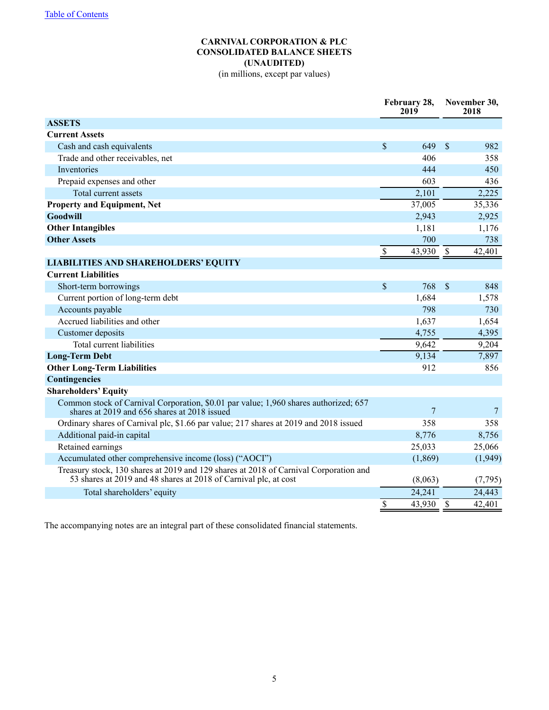# **CARNIVAL CORPORATION & PLC CONSOLIDATED BALANCE SHEETS (UNAUDITED)**

(in millions, except par values)

|                                                                                                                                                           |                         | February 28,<br>2019 |                           | November 30,<br>2018 |
|-----------------------------------------------------------------------------------------------------------------------------------------------------------|-------------------------|----------------------|---------------------------|----------------------|
| <b>ASSETS</b>                                                                                                                                             |                         |                      |                           |                      |
| <b>Current Assets</b>                                                                                                                                     |                         |                      |                           |                      |
| Cash and cash equivalents                                                                                                                                 | $\mathcal{S}$           | 649                  | $\mathcal{S}$             | 982                  |
| Trade and other receivables, net                                                                                                                          |                         | 406                  |                           | 358                  |
| Inventories                                                                                                                                               |                         | 444                  |                           | 450                  |
| Prepaid expenses and other                                                                                                                                |                         | 603                  |                           | 436                  |
| Total current assets                                                                                                                                      |                         | 2,101                |                           | 2,225                |
| <b>Property and Equipment, Net</b>                                                                                                                        |                         | 37,005               |                           | 35,336               |
| Goodwill                                                                                                                                                  |                         | 2,943                |                           | 2,925                |
| <b>Other Intangibles</b>                                                                                                                                  |                         | 1,181                |                           | 1,176                |
| <b>Other Assets</b>                                                                                                                                       |                         | 700                  |                           | 738                  |
|                                                                                                                                                           | $\overline{\$}$         | 43,930               | $\boldsymbol{\mathsf{S}}$ | 42,401               |
| <b>LIABILITIES AND SHAREHOLDERS' EQUITY</b>                                                                                                               |                         |                      |                           |                      |
| <b>Current Liabilities</b>                                                                                                                                |                         |                      |                           |                      |
| Short-term borrowings                                                                                                                                     | $\mathsf{\$}$           | 768                  | $\mathcal{S}$             | 848                  |
| Current portion of long-term debt                                                                                                                         |                         | 1,684                |                           | 1,578                |
| Accounts payable                                                                                                                                          |                         | 798                  |                           | 730                  |
| Accrued liabilities and other                                                                                                                             |                         | 1,637                |                           | 1,654                |
| Customer deposits                                                                                                                                         |                         | 4,755                |                           | 4,395                |
| Total current liabilities                                                                                                                                 |                         | 9,642                |                           | 9,204                |
| <b>Long-Term Debt</b>                                                                                                                                     |                         | 9,134                |                           | 7,897                |
| <b>Other Long-Term Liabilities</b>                                                                                                                        |                         | 912                  |                           | 856                  |
| Contingencies                                                                                                                                             |                         |                      |                           |                      |
| <b>Shareholders' Equity</b>                                                                                                                               |                         |                      |                           |                      |
| Common stock of Carnival Corporation, \$0.01 par value; 1,960 shares authorized; 657<br>shares at 2019 and 656 shares at 2018 issued                      |                         | $7\phantom{.0}$      |                           | 7                    |
| Ordinary shares of Carnival plc, \$1.66 par value; 217 shares at 2019 and 2018 issued                                                                     |                         | 358                  |                           | 358                  |
| Additional paid-in capital                                                                                                                                |                         | 8,776                |                           | 8,756                |
| Retained earnings                                                                                                                                         |                         | 25,033               |                           | 25,066               |
| Accumulated other comprehensive income (loss) ("AOCI")                                                                                                    |                         | (1, 869)             |                           | (1,949)              |
| Treasury stock, 130 shares at 2019 and 129 shares at 2018 of Carnival Corporation and<br>53 shares at 2019 and 48 shares at 2018 of Carnival plc, at cost |                         | (8,063)              |                           | (7,795)              |
| Total shareholders' equity                                                                                                                                |                         | 24,241               |                           | 24,443               |
|                                                                                                                                                           | $\overline{\mathbb{S}}$ | 43,930               | $\overline{\mathcal{S}}$  | 42,401               |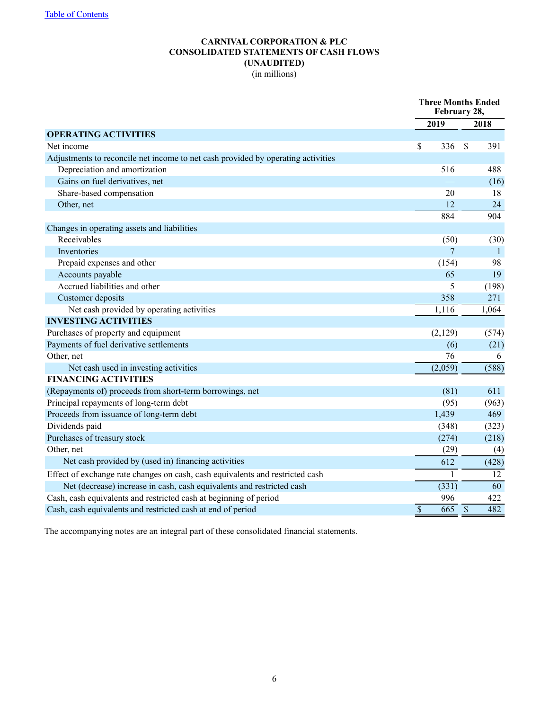# **CARNIVAL CORPORATION & PLC CONSOLIDATED STATEMENTS OF CASH FLOWS (UNAUDITED)** (in millions)

|                                                                                  |                                 | <b>Three Months Ended</b><br>February 28, |
|----------------------------------------------------------------------------------|---------------------------------|-------------------------------------------|
|                                                                                  | 2019                            | 2018                                      |
| <b>OPERATING ACTIVITIES</b>                                                      |                                 |                                           |
| Net income                                                                       | \$<br>336                       | \$<br>391                                 |
| Adjustments to reconcile net income to net cash provided by operating activities |                                 |                                           |
| Depreciation and amortization                                                    | 516                             | 488                                       |
| Gains on fuel derivatives, net                                                   |                                 | (16)                                      |
| Share-based compensation                                                         | 20                              | 18                                        |
| Other, net                                                                       | 12                              | 24                                        |
|                                                                                  | 884                             | 904                                       |
| Changes in operating assets and liabilities                                      |                                 |                                           |
| Receivables                                                                      | (50)                            | (30)                                      |
| Inventories                                                                      | 7                               | $\mathbf{1}$                              |
| Prepaid expenses and other                                                       | (154)                           | 98                                        |
| Accounts payable                                                                 | 65                              | 19                                        |
| Accrued liabilities and other                                                    | 5                               | (198)                                     |
| Customer deposits                                                                | 358                             | 271                                       |
| Net cash provided by operating activities                                        | 1,116                           | 1,064                                     |
| <b>INVESTING ACTIVITIES</b>                                                      |                                 |                                           |
| Purchases of property and equipment                                              | (2,129)                         | (574)                                     |
| Payments of fuel derivative settlements                                          | (6)                             | (21)                                      |
| Other, net                                                                       | 76                              | 6                                         |
| Net cash used in investing activities                                            | (2,059)                         | (588)                                     |
| <b>FINANCING ACTIVITIES</b>                                                      |                                 |                                           |
| (Repayments of) proceeds from short-term borrowings, net                         | (81)                            | 611                                       |
| Principal repayments of long-term debt                                           | (95)                            | (963)                                     |
| Proceeds from issuance of long-term debt                                         | 1,439                           | 469                                       |
| Dividends paid                                                                   | (348)                           | (323)                                     |
| Purchases of treasury stock                                                      | (274)                           | (218)                                     |
| Other, net                                                                       | (29)                            | (4)                                       |
| Net cash provided by (used in) financing activities                              | 612                             | (428)                                     |
| Effect of exchange rate changes on cash, cash equivalents and restricted cash    | $\mathbf{1}$                    | 12                                        |
| Net (decrease) increase in cash, cash equivalents and restricted cash            | (331)                           | 60                                        |
| Cash, cash equivalents and restricted cash at beginning of period                | 996                             | 422                                       |
| Cash, cash equivalents and restricted cash at end of period                      | $\overline{\mathcal{S}}$<br>665 | $\mathsf{\$}$<br>482                      |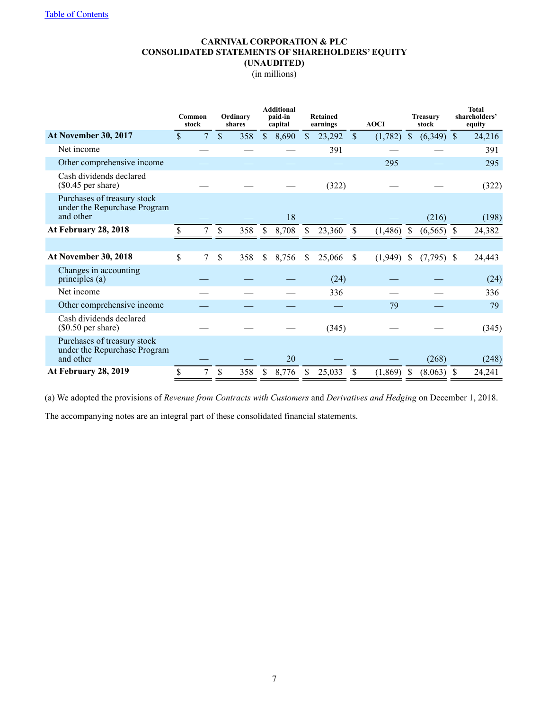# **CARNIVAL CORPORATION & PLC CONSOLIDATED STATEMENTS OF SHAREHOLDERS' EQUITY (UNAUDITED)**

(in millions)

|                                                                          |               | Common<br>stock |               | Ordinary<br>shares |              | <b>Additional</b><br>paid-in<br>capital |               | <b>Retained</b><br>earnings | <b>AOCI</b>  |         |               | <b>Treasury</b><br>stock |              | <b>Total</b><br>shareholders'<br>equity |
|--------------------------------------------------------------------------|---------------|-----------------|---------------|--------------------|--------------|-----------------------------------------|---------------|-----------------------------|--------------|---------|---------------|--------------------------|--------------|-----------------------------------------|
| At November 30, 2017                                                     | $\mathbf{\$}$ | $\overline{7}$  | $\mathsf{\$}$ | 358                | \$           | 8,690                                   | <sup>\$</sup> | 23,292                      | $\mathbb{S}$ | (1,782) | <sup>\$</sup> | $(6,349)$ \$             |              | 24,216                                  |
| Net income                                                               |               |                 |               |                    |              |                                         |               | 391                         |              |         |               |                          |              | 391                                     |
| Other comprehensive income                                               |               |                 |               |                    |              |                                         |               |                             |              | 295     |               |                          |              | 295                                     |
| Cash dividends declared<br>$(\$0.45$ per share)                          |               |                 |               |                    |              |                                         |               | (322)                       |              |         |               |                          |              | (322)                                   |
| Purchases of treasury stock<br>under the Repurchase Program<br>and other |               |                 |               |                    |              | 18                                      |               |                             |              |         |               | (216)                    |              | (198)                                   |
| At February 28, 2018                                                     | \$            | $\tau$          | \$            | 358                | <sup>S</sup> | 8,708                                   | <sup>\$</sup> | 23,360                      | S            | (1,486) | <sup>S</sup>  | (6, 565)                 | <sup>S</sup> | 24,382                                  |
|                                                                          |               |                 |               |                    |              |                                         |               |                             |              |         |               |                          |              |                                         |
| At November 30, 2018                                                     | \$            | 7               | \$            | 358                | S            | 8,756                                   | S.            | 25,066                      | S            | (1,949) | \$            | $(7,795)$ \$             |              | 24,443                                  |
| Changes in accounting<br>principles (a)                                  |               |                 |               |                    |              |                                         |               | (24)                        |              |         |               |                          |              | (24)                                    |
| Net income                                                               |               |                 |               |                    |              |                                         |               | 336                         |              |         |               |                          |              | 336                                     |
| Other comprehensive income                                               |               |                 |               |                    |              |                                         |               |                             |              | 79      |               |                          |              | 79                                      |
| Cash dividends declared<br>$(\$0.50$ per share)                          |               |                 |               |                    |              |                                         |               | (345)                       |              |         |               |                          |              | (345)                                   |
| Purchases of treasury stock<br>under the Repurchase Program<br>and other |               |                 |               |                    |              | 20                                      |               |                             |              |         |               | (268)                    |              | (248)                                   |
| At February 28, 2019                                                     | \$            | 7               | \$            | 358                | \$           | 8,776                                   | S             | 25,033                      | \$           | (1,869) | S             | (8,063)                  | \$           | 24,241                                  |

(a) We adopted the provisions of *Revenue from Contracts with Customers* and *Derivatives and Hedging* on December 1, 2018.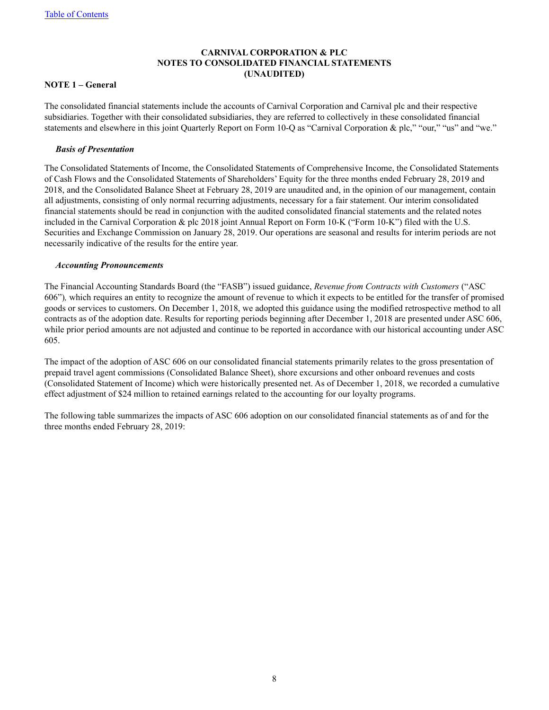# **CARNIVAL CORPORATION & PLC NOTES TO CONSOLIDATED FINANCIAL STATEMENTS (UNAUDITED)**

#### **NOTE 1 – General**

The consolidated financial statements include the accounts of Carnival Corporation and Carnival plc and their respective subsidiaries. Together with their consolidated subsidiaries, they are referred to collectively in these consolidated financial statements and elsewhere in this joint Quarterly Report on Form 10-Q as "Carnival Corporation & plc," "our," "us" and "we."

#### *Basis of Presentation*

The Consolidated Statements of Income, the Consolidated Statements of Comprehensive Income, the Consolidated Statements of Cash Flows and the Consolidated Statements of Shareholders' Equity for the three months ended February 28, 2019 and 2018, and the Consolidated Balance Sheet at February 28, 2019 are unaudited and, in the opinion of our management, contain all adjustments, consisting of only normal recurring adjustments, necessary for a fair statement. Our interim consolidated financial statements should be read in conjunction with the audited consolidated financial statements and the related notes included in the Carnival Corporation & plc 2018 joint Annual Report on Form 10-K ("Form 10-K") filed with the U.S. Securities and Exchange Commission on January 28, 2019. Our operations are seasonal and results for interim periods are not necessarily indicative of the results for the entire year.

#### *Accounting Pronouncements*

The Financial Accounting Standards Board (the "FASB") issued guidance, *Revenue from Contracts with Customers* ("ASC 606")*,* which requires an entity to recognize the amount of revenue to which it expects to be entitled for the transfer of promised goods or services to customers. On December 1, 2018, we adopted this guidance using the modified retrospective method to all contracts as of the adoption date. Results for reporting periods beginning after December 1, 2018 are presented under ASC 606, while prior period amounts are not adjusted and continue to be reported in accordance with our historical accounting under ASC 605.

The impact of the adoption of ASC 606 on our consolidated financial statements primarily relates to the gross presentation of prepaid travel agent commissions (Consolidated Balance Sheet), shore excursions and other onboard revenues and costs (Consolidated Statement of Income) which were historically presented net. As of December 1, 2018, we recorded a cumulative effect adjustment of \$24 million to retained earnings related to the accounting for our loyalty programs.

The following table summarizes the impacts of ASC 606 adoption on our consolidated financial statements as of and for the three months ended February 28, 2019: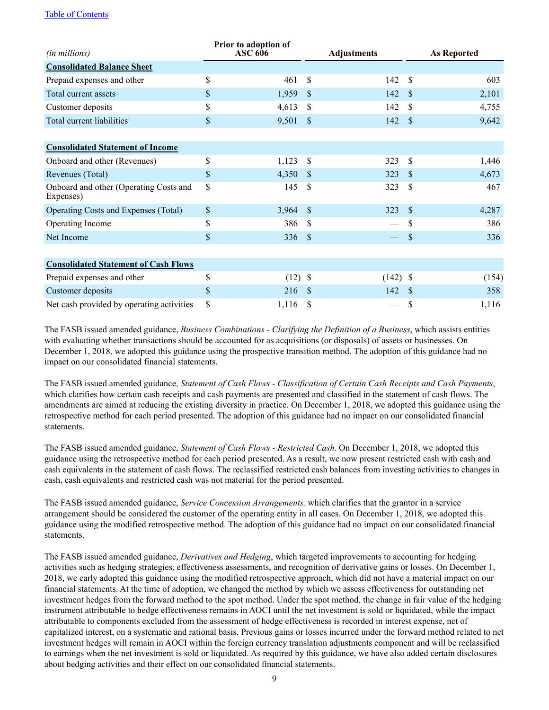#### Table of Contents

| (in millions)                                       |      | Prior to adoption of<br><b>ASC 606</b> |                    | <b>Adjustments</b> |               | <b>As Reported</b> |
|-----------------------------------------------------|------|----------------------------------------|--------------------|--------------------|---------------|--------------------|
| <b>Consolidated Balance Sheet</b>                   |      |                                        |                    |                    |               |                    |
| Prepaid expenses and other                          | \$   | 461                                    | \$                 | 142                | \$            | 603                |
| Total current assets                                | \$   | 1,959                                  | \$                 | 142                | <sup>\$</sup> | 2,101              |
| Customer deposits                                   | \$   | 4,613                                  | \$                 | 142                | \$            | 4,755              |
| Total current liabilities                           | \$   | 9,501                                  | \$                 | 142                | <sup>\$</sup> | 9,642              |
|                                                     |      |                                        |                    |                    |               |                    |
| <b>Consolidated Statement of Income</b>             |      |                                        |                    |                    |               |                    |
| Onboard and other (Revenues)                        | \$   | 1,123                                  | \$                 | 323                | \$.           | 1,446              |
| Revenues (Total)                                    | \$   | 4,350                                  | <sup>S</sup>       | 323                | <sup>\$</sup> | 4,673              |
| Onboard and other (Operating Costs and<br>Expenses) | \$   | 145                                    | \$                 | 323                | \$            | 467                |
| <b>Operating Costs and Expenses (Total)</b>         | $\$$ | 3,964                                  | $\mathbf{\hat{S}}$ | 323                | $\mathcal{S}$ | 4,287              |
| Operating Income                                    | $\$$ | 386                                    | $\mathcal{S}$      |                    | \$            | 386                |
| Net Income                                          | \$   | 336                                    | \$                 |                    | \$            | 336                |
|                                                     |      |                                        |                    |                    |               |                    |
| <b>Consolidated Statement of Cash Flows</b>         |      |                                        |                    |                    |               |                    |
| Prepaid expenses and other                          | \$   | $(12)$ \$                              |                    | (142)              | -S            | (154)              |
| Customer deposits                                   | \$   | 216                                    | <b>S</b>           | 142                | <sup>\$</sup> | 358                |
| Net cash provided by operating activities           | \$   | 1,116                                  | \$                 |                    | \$            | 1,116              |

The FASB issued amended guidance, *Business Combinations - Clarifying the Definition of a Business*, which assists entities with evaluating whether transactions should be accounted for as acquisitions (or disposals) of assets or businesses. On December 1, 2018, we adopted this guidance using the prospective transition method. The adoption of this guidance had no impact on our consolidated financial statements.

The FASB issued amended guidance, *Statement of Cash Flows - Classification of Certain Cash Receipts and Cash Payments*, which clarifies how certain cash receipts and cash payments are presented and classified in the statement of cash flows. The amendments are aimed at reducing the existing diversity in practice. On December 1, 2018, we adopted this guidance using the retrospective method for each period presented. The adoption of this guidance had no impact on our consolidated financial statements.

The FASB issued amended guidance, *Statement of Cash Flows - Restricted Cash.* On December 1, 2018, we adopted this guidance using the retrospective method for each period presented. As a result, we now present restricted cash with cash and cash equivalents in the statement of cash flows. The reclassified restricted cash balances from investing activities to changes in cash, cash equivalents and restricted cash was not material for the period presented.

The FASB issued amended guidance, *Service Concession Arrangements,* which clarifies that the grantor in a service arrangement should be considered the customer of the operating entity in all cases. On December 1, 2018, we adopted this guidance using the modified retrospective method. The adoption of this guidance had no impact on our consolidated financial statements.

The FASB issued amended guidance, *Derivatives and Hedging*, which targeted improvements to accounting for hedging activities such as hedging strategies, effectiveness assessments, and recognition of derivative gains or losses. On December 1, 2018, we early adopted this guidance using the modified retrospective approach, which did not have a material impact on our financial statements. At the time of adoption, we changed the method by which we assess effectiveness for outstanding net investment hedges from the forward method to the spot method. Under the spot method, the change in fair value of the hedging instrument attributable to hedge effectiveness remains in AOCI until the net investment is sold or liquidated, while the impact attributable to components excluded from the assessment of hedge effectiveness is recorded in interest expense, net of capitalized interest, on a systematic and rational basis. Previous gains or losses incurred under the forward method related to net investment hedges will remain in AOCI within the foreign currency translation adjustments component and will be reclassified to earnings when the net investment is sold or liquidated. As required by this guidance, we have also added certain disclosures about hedging activities and their effect on our consolidated financial statements.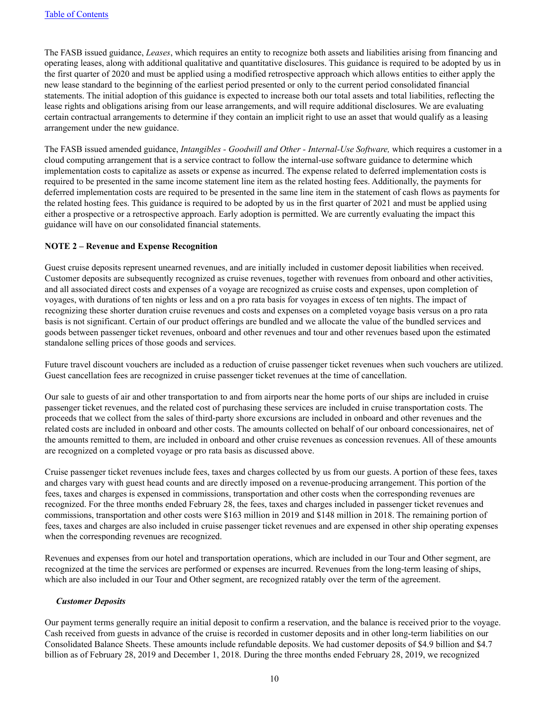The FASB issued guidance, *Leases*, which requires an entity to recognize both assets and liabilities arising from financing and operating leases, along with additional qualitative and quantitative disclosures. This guidance is required to be adopted by us in the first quarter of 2020 and must be applied using a modified retrospective approach which allows entities to either apply the new lease standard to the beginning of the earliest period presented or only to the current period consolidated financial statements. The initial adoption of this guidance is expected to increase both our total assets and total liabilities, reflecting the lease rights and obligations arising from our lease arrangements, and will require additional disclosures. We are evaluating certain contractual arrangements to determine if they contain an implicit right to use an asset that would qualify as a leasing arrangement under the new guidance.

The FASB issued amended guidance, *Intangibles - Goodwill and Other - Internal-Use Software,* which requires a customer in a cloud computing arrangement that is a service contract to follow the internal-use software guidance to determine which implementation costs to capitalize as assets or expense as incurred. The expense related to deferred implementation costs is required to be presented in the same income statement line item as the related hosting fees. Additionally, the payments for deferred implementation costs are required to be presented in the same line item in the statement of cash flows as payments for the related hosting fees. This guidance is required to be adopted by us in the first quarter of 2021 and must be applied using either a prospective or a retrospective approach. Early adoption is permitted. We are currently evaluating the impact this guidance will have on our consolidated financial statements.

### **NOTE 2 – Revenue and Expense Recognition**

Guest cruise deposits represent unearned revenues, and are initially included in customer deposit liabilities when received. Customer deposits are subsequently recognized as cruise revenues, together with revenues from onboard and other activities, and all associated direct costs and expenses of a voyage are recognized as cruise costs and expenses, upon completion of voyages, with durations of ten nights or less and on a pro rata basis for voyages in excess of ten nights. The impact of recognizing these shorter duration cruise revenues and costs and expenses on a completed voyage basis versus on a pro rata basis is not significant. Certain of our product offerings are bundled and we allocate the value of the bundled services and goods between passenger ticket revenues, onboard and other revenues and tour and other revenues based upon the estimated standalone selling prices of those goods and services.

Future travel discount vouchers are included as a reduction of cruise passenger ticket revenues when such vouchers are utilized. Guest cancellation fees are recognized in cruise passenger ticket revenues at the time of cancellation.

Our sale to guests of air and other transportation to and from airports near the home ports of our ships are included in cruise passenger ticket revenues, and the related cost of purchasing these services are included in cruise transportation costs. The proceeds that we collect from the sales of third-party shore excursions are included in onboard and other revenues and the related costs are included in onboard and other costs. The amounts collected on behalf of our onboard concessionaires, net of the amounts remitted to them, are included in onboard and other cruise revenues as concession revenues. All of these amounts are recognized on a completed voyage or pro rata basis as discussed above.

Cruise passenger ticket revenues include fees, taxes and charges collected by us from our guests. A portion of these fees, taxes and charges vary with guest head counts and are directly imposed on a revenue-producing arrangement. This portion of the fees, taxes and charges is expensed in commissions, transportation and other costs when the corresponding revenues are recognized. For the three months ended February 28, the fees, taxes and charges included in passenger ticket revenues and commissions, transportation and other costs were \$163 million in 2019 and \$148 million in 2018. The remaining portion of fees, taxes and charges are also included in cruise passenger ticket revenues and are expensed in other ship operating expenses when the corresponding revenues are recognized.

Revenues and expenses from our hotel and transportation operations, which are included in our Tour and Other segment, are recognized at the time the services are performed or expenses are incurred. Revenues from the long-term leasing of ships, which are also included in our Tour and Other segment, are recognized ratably over the term of the agreement.

#### *Customer Deposits*

Our payment terms generally require an initial deposit to confirm a reservation, and the balance is received prior to the voyage. Cash received from guests in advance of the cruise is recorded in customer deposits and in other long-term liabilities on our Consolidated Balance Sheets. These amounts include refundable deposits. We had customer deposits of \$4.9 billion and \$4.7 billion as of February 28, 2019 and December 1, 2018. During the three months ended February 28, 2019, we recognized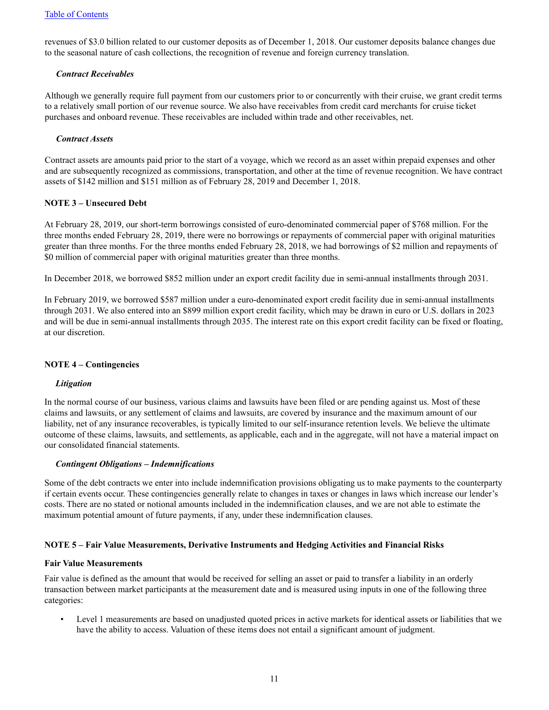revenues of \$3.0 billion related to our customer deposits as of December 1, 2018. Our customer deposits balance changes due to the seasonal nature of cash collections, the recognition of revenue and foreign currency translation.

#### *Contract Receivables*

Although we generally require full payment from our customers prior to or concurrently with their cruise, we grant credit terms to a relatively small portion of our revenue source. We also have receivables from credit card merchants for cruise ticket purchases and onboard revenue. These receivables are included within trade and other receivables, net.

#### *Contract Assets*

Contract assets are amounts paid prior to the start of a voyage, which we record as an asset within prepaid expenses and other and are subsequently recognized as commissions, transportation, and other at the time of revenue recognition. We have contract assets of \$142 million and \$151 million as of February 28, 2019 and December 1, 2018.

### **NOTE 3 – Unsecured Debt**

At February 28, 2019, our short-term borrowings consisted of euro-denominated commercial paper of \$768 million. For the three months ended February 28, 2019, there were no borrowings or repayments of commercial paper with original maturities greater than three months. For the three months ended February 28, 2018, we had borrowings of \$2 million and repayments of \$0 million of commercial paper with original maturities greater than three months.

In December 2018, we borrowed \$852 million under an export credit facility due in semi-annual installments through 2031.

In February 2019, we borrowed \$587 million under a euro-denominated export credit facility due in semi-annual installments through 2031. We also entered into an \$899 million export credit facility, which may be drawn in euro or U.S. dollars in 2023 and will be due in semi-annual installments through 2035. The interest rate on this export credit facility can be fixed or floating, at our discretion.

# **NOTE 4 – Contingencies**

#### *Litigation*

In the normal course of our business, various claims and lawsuits have been filed or are pending against us. Most of these claims and lawsuits, or any settlement of claims and lawsuits, are covered by insurance and the maximum amount of our liability, net of any insurance recoverables, is typically limited to our self-insurance retention levels. We believe the ultimate outcome of these claims, lawsuits, and settlements, as applicable, each and in the aggregate, will not have a material impact on our consolidated financial statements.

#### *Contingent Obligations – Indemnifications*

Some of the debt contracts we enter into include indemnification provisions obligating us to make payments to the counterparty if certain events occur. These contingencies generally relate to changes in taxes or changes in laws which increase our lender's costs. There are no stated or notional amounts included in the indemnification clauses, and we are not able to estimate the maximum potential amount of future payments, if any, under these indemnification clauses.

#### **NOTE 5 – Fair Value Measurements, Derivative Instruments and Hedging Activities and Financial Risks**

#### **Fair Value Measurements**

Fair value is defined as the amount that would be received for selling an asset or paid to transfer a liability in an orderly transaction between market participants at the measurement date and is measured using inputs in one of the following three categories:

• Level 1 measurements are based on unadjusted quoted prices in active markets for identical assets or liabilities that we have the ability to access. Valuation of these items does not entail a significant amount of judgment.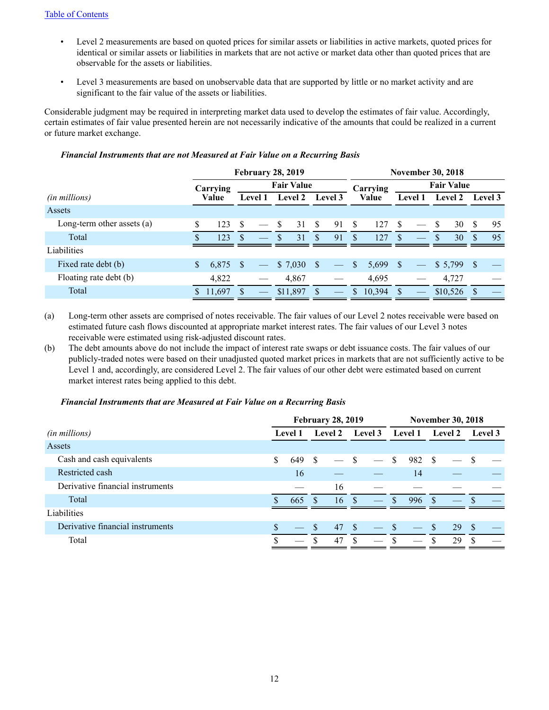- Level 2 measurements are based on quoted prices for similar assets or liabilities in active markets, quoted prices for identical or similar assets or liabilities in markets that are not active or market data other than quoted prices that are observable for the assets or liabilities.
- Level 3 measurements are based on unobservable data that are supported by little or no market activity and are significant to the fair value of the assets or liabilities.

Considerable judgment may be required in interpreting market data used to develop the estimates of fair value. Accordingly, certain estimates of fair value presented herein are not necessarily indicative of the amounts that could be realized in a current or future market exchange.

| Financial Instruments that are not Measured at Fair Value on a Recurring Basis |  |
|--------------------------------------------------------------------------------|--|
|--------------------------------------------------------------------------------|--|

|                              | <b>February 28, 2019</b> |          |               |  |                |                   | <b>November 30, 2018</b> |                          |          |        |                   |  |                |          |    |                |  |
|------------------------------|--------------------------|----------|---------------|--|----------------|-------------------|--------------------------|--------------------------|----------|--------|-------------------|--|----------------|----------|----|----------------|--|
|                              |                          | Carrying |               |  |                | <b>Fair Value</b> |                          |                          | Carrying |        | <b>Fair Value</b> |  |                |          |    |                |  |
| (in millions)                | Value                    |          | Level 1       |  | <b>Level 2</b> |                   | Level 3                  |                          | Value    |        | <b>Level 1</b>    |  | <b>Level 2</b> |          |    | <b>Level 3</b> |  |
| Assets                       |                          |          |               |  |                |                   |                          |                          |          |        |                   |  |                |          |    |                |  |
| Long-term other assets $(a)$ |                          | 123      | \$            |  | <sup>\$</sup>  | 31                | - S                      | 91                       | - \$     | 127    | -S                |  | S              | 30       | S  | 95             |  |
| Total                        |                          | 123      | \$.           |  |                | 31                |                          | 91                       | \$.      | 127    | <b>S</b>          |  |                | 30       |    | 95             |  |
| Liabilities                  |                          |          |               |  |                |                   |                          |                          |          |        |                   |  |                |          |    |                |  |
| Fixed rate debt (b)          | S.                       | 6,875    | <sup>\$</sup> |  |                | \$7,030           | - \$                     | $\overline{\phantom{a}}$ | - \$     | 5,699  | <b>S</b>          |  |                | \$5,799  | -S |                |  |
| Floating rate debt (b)       |                          | 4,822    |               |  |                | 4,867             |                          |                          |          | 4,695  |                   |  |                | 4,727    |    |                |  |
| Total                        |                          | 11,697   |               |  |                | \$11,897          |                          |                          | S.       | 10,394 | \$.               |  |                | \$10,526 |    |                |  |

(a) Long-term other assets are comprised of notes receivable. The fair values of our Level 2 notes receivable were based on estimated future cash flows discounted at appropriate market interest rates. The fair values of our Level 3 notes receivable were estimated using risk-adjusted discount rates.

(b) The debt amounts above do not include the impact of interest rate swaps or debt issuance costs. The fair values of our publicly-traded notes were based on their unadjusted quoted market prices in markets that are not sufficiently active to be Level 1 and, accordingly, are considered Level 2. The fair values of our other debt were estimated based on current market interest rates being applied to this debt.

#### *Financial Instruments that are Measured at Fair Value on a Recurring Basis*

|                                  |     |                | <b>February 28, 2019</b> |       | <b>November 30, 2018</b> |        |                |                          |                |    |      |         |
|----------------------------------|-----|----------------|--------------------------|-------|--------------------------|--------|----------------|--------------------------|----------------|----|------|---------|
| (in millions)                    |     | <b>Level 1</b> | Level 2                  |       | <b>Level 3</b>           |        | <b>Level 1</b> |                          | <b>Level 2</b> |    |      | Level 3 |
| Assets                           |     |                |                          |       |                          |        |                |                          |                |    |      |         |
| Cash and cash equivalents        | \$  | 649            | <sup>\$</sup>            |       | <sup>\$</sup>            |        | \$             | 982                      | - S            |    |      |         |
| Restricted cash                  |     | 16             |                          |       |                          |        |                | 14                       |                |    |      |         |
| Derivative financial instruments |     |                |                          | 16    |                          |        |                |                          |                |    |      |         |
| Total                            | \$. | 665            | $\mathcal{S}$            | 16    | - \$                     | $-$ \$ |                | 996                      | - \$           |    |      |         |
| Liabilities                      |     |                |                          |       |                          |        |                |                          |                |    |      |         |
| Derivative financial instruments | \$  |                |                          | 47 \$ |                          | $-$ \$ |                | $\overline{\phantom{0}}$ | - \$           | 29 | - \$ |         |
| Total                            | ¢   |                | -S                       | 47    | -S                       |        | $\mathcal{S}$  |                          | S.             | 29 |      |         |
|                                  |     |                |                          |       |                          |        |                |                          |                |    |      |         |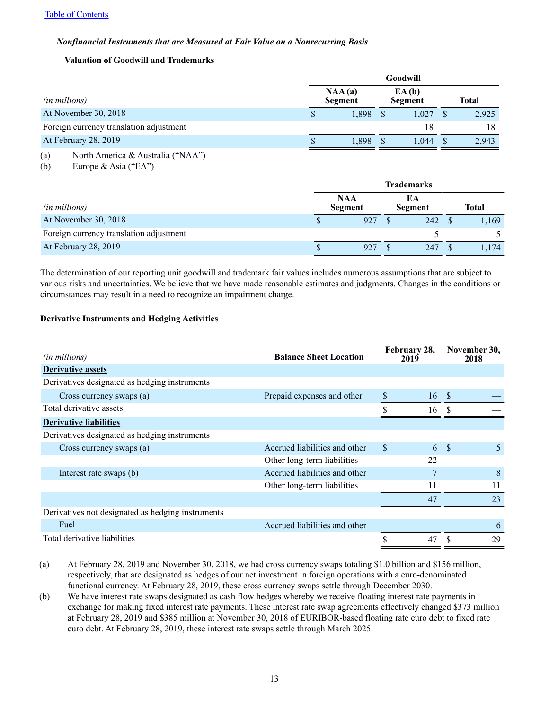#### Table of Contents

#### *Nonfinancial Instruments that are Measured at Fair Value on a Nonrecurring Basis*

#### **Valuation of Goodwill and Trademarks**

| Goodwill                                |               |                          |  |                  |  |              |  |  |
|-----------------------------------------|---------------|--------------------------|--|------------------|--|--------------|--|--|
| (in millions)                           |               | NAA(a)<br><b>Segment</b> |  | EA(b)<br>Segment |  | <b>Total</b> |  |  |
| At November 30, 2018                    | <sup>\$</sup> | 1,898                    |  | 1.027            |  | 2,925        |  |  |
| Foreign currency translation adjustment |               |                          |  | 18               |  |              |  |  |
| At February 28, 2019                    | \$            | 1.898                    |  | 1.044            |  | 2,943        |  |  |

### (a) North America & Australia ("NAA")

<sup>(</sup>b) Europe & Asia ("EA")

|                                         | <b>Trademarks</b>            |     |  |                      |  |              |  |  |  |  |
|-----------------------------------------|------------------------------|-----|--|----------------------|--|--------------|--|--|--|--|
| (in millions)                           | <b>NAA</b><br><b>Segment</b> |     |  | ЕA<br><b>Segment</b> |  | <b>Total</b> |  |  |  |  |
| At November 30, 2018                    |                              | 927 |  | 242                  |  | 1,169        |  |  |  |  |
| Foreign currency translation adjustment |                              |     |  |                      |  |              |  |  |  |  |
| At February 28, 2019                    |                              | 92' |  | 247                  |  | .174         |  |  |  |  |

The determination of our reporting unit goodwill and trademark fair values includes numerous assumptions that are subject to various risks and uncertainties. We believe that we have made reasonable estimates and judgments. Changes in the conditions or circumstances may result in a need to recognize an impairment charge.

### **Derivative Instruments and Hedging Activities**

| (in millions)                                     | <b>Balance Sheet Location</b> | February 28,<br>2019 |    |               | November 30,<br>2018 |
|---------------------------------------------------|-------------------------------|----------------------|----|---------------|----------------------|
| <b>Derivative assets</b>                          |                               |                      |    |               |                      |
| Derivatives designated as hedging instruments     |                               |                      |    |               |                      |
| Cross currency swaps (a)                          | Prepaid expenses and other    | \$                   | 16 | - \$          |                      |
| Total derivative assets                           |                               | \$                   | 16 | $\mathcal{S}$ |                      |
| <b>Derivative liabilities</b>                     |                               |                      |    |               |                      |
| Derivatives designated as hedging instruments     |                               |                      |    |               |                      |
| Cross currency swaps (a)                          | Accrued liabilities and other | $\mathbf{\hat{s}}$   | 6  | - \$          | 5                    |
|                                                   | Other long-term liabilities   |                      | 22 |               |                      |
| Interest rate swaps (b)                           | Accrued liabilities and other |                      |    |               | 8                    |
|                                                   | Other long-term liabilities   |                      | 11 |               | 11                   |
|                                                   |                               |                      | 47 |               | 23                   |
| Derivatives not designated as hedging instruments |                               |                      |    |               |                      |
| Fuel                                              | Accrued liabilities and other |                      |    |               | 6                    |
| Total derivative liabilities                      |                               | \$                   |    |               | 29                   |

(a) At February 28, 2019 and November 30, 2018, we had cross currency swaps totaling \$1.0 billion and \$156 million, respectively, that are designated as hedges of our net investment in foreign operations with a euro-denominated functional currency. At February 28, 2019, these cross currency swaps settle through December 2030.

(b) We have interest rate swaps designated as cash flow hedges whereby we receive floating interest rate payments in exchange for making fixed interest rate payments. These interest rate swap agreements effectively changed \$373 million at February 28, 2019 and \$385 million at November 30, 2018 of EURIBOR-based floating rate euro debt to fixed rate euro debt. At February 28, 2019, these interest rate swaps settle through March 2025.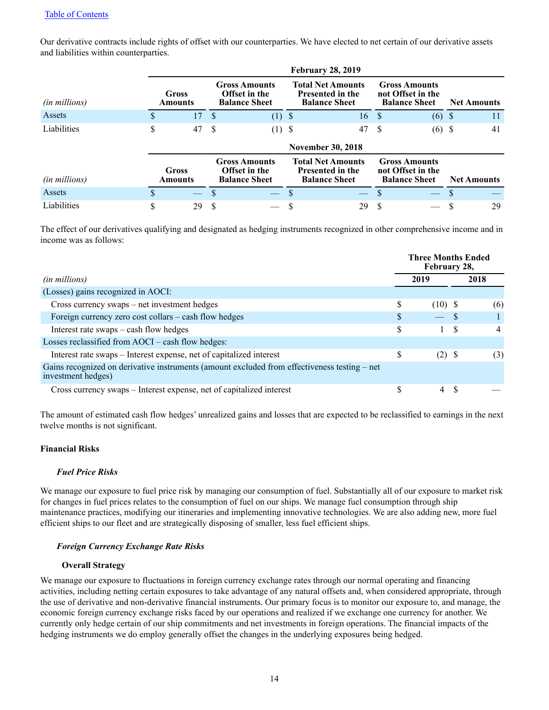Our derivative contracts include rights of offset with our counterparties. We have elected to net certain of our derivative assets and liabilities within counterparties.

|               | <b>February 28, 2019</b> |                         |               |                                                                      |               |                                                                             |     |                                                                   |   |                    |
|---------------|--------------------------|-------------------------|---------------|----------------------------------------------------------------------|---------------|-----------------------------------------------------------------------------|-----|-------------------------------------------------------------------|---|--------------------|
| (in millions) |                          | <b>Gross</b><br>Amounts |               | <b>Gross Amounts</b><br><b>Offset in the</b><br><b>Balance Sheet</b> |               | <b>Total Net Amounts</b><br><b>Presented in the</b><br><b>Balance Sheet</b> |     | <b>Gross Amounts</b><br>not Offset in the<br><b>Balance Sheet</b> |   | <b>Net Amounts</b> |
| Assets        | \$.                      | 17                      | $\mathcal{S}$ | $(1)$ \$                                                             |               | 16                                                                          | -S  | $(6)$ \$                                                          |   | 11                 |
| Liabilities   | \$                       | 47                      | - S           | $(1)$ \$                                                             |               | 47                                                                          | -S  | $(6)$ \$                                                          |   | 41                 |
|               |                          |                         |               |                                                                      |               | <b>November 30, 2018</b>                                                    |     |                                                                   |   |                    |
| (in millions) |                          | Gross<br>Amounts        |               | <b>Gross Amounts</b><br><b>Offset in the</b><br><b>Balance Sheet</b> |               | <b>Total Net Amounts</b><br><b>Presented in the</b><br><b>Balance Sheet</b> |     | <b>Gross Amounts</b><br>not Offset in the<br><b>Balance Sheet</b> |   | <b>Net Amounts</b> |
| Assets        |                          |                         | $\mathbf{s}$  |                                                                      | <sup>\$</sup> |                                                                             | \$. |                                                                   | S |                    |
| Liabilities   |                          | 29                      | - \$          |                                                                      | S             | 29                                                                          |     |                                                                   | S | 29                 |

The effect of our derivatives qualifying and designated as hedging instruments recognized in other comprehensive income and in income was as follows:

|                                                                                                                    | <b>Three Months Ended</b><br>February 28, |                          |  |      |
|--------------------------------------------------------------------------------------------------------------------|-------------------------------------------|--------------------------|--|------|
| <i>(in millions)</i>                                                                                               |                                           | 2019                     |  | 2018 |
| (Losses) gains recognized in AOCI:                                                                                 |                                           |                          |  |      |
| Cross currency swaps – net investment hedges                                                                       | S                                         | $(10)$ \$                |  | (6)  |
| Foreign currency zero cost collars – cash flow hedges                                                              |                                           | $\overline{\phantom{a}}$ |  |      |
| Interest rate swaps - cash flow hedges                                                                             | \$                                        |                          |  | 4    |
| Losses reclassified from AOCI – cash flow hedges:                                                                  |                                           |                          |  |      |
| Interest rate swaps – Interest expense, net of capitalized interest                                                | \$                                        | $(2)$ \$                 |  | (3)  |
| Gains recognized on derivative instruments (amount excluded from effectiveness testing – net<br>investment hedges) |                                           |                          |  |      |
| Cross currency swaps – Interest expense, net of capitalized interest                                               | S                                         | 4                        |  |      |

The amount of estimated cash flow hedges' unrealized gains and losses that are expected to be reclassified to earnings in the next twelve months is not significant.

#### **Financial Risks**

#### *Fuel Price Risks*

We manage our exposure to fuel price risk by managing our consumption of fuel. Substantially all of our exposure to market risk for changes in fuel prices relates to the consumption of fuel on our ships. We manage fuel consumption through ship maintenance practices, modifying our itineraries and implementing innovative technologies. We are also adding new, more fuel efficient ships to our fleet and are strategically disposing of smaller, less fuel efficient ships.

#### *Foreign Currency Exchange Rate Risks*

#### **Overall Strategy**

We manage our exposure to fluctuations in foreign currency exchange rates through our normal operating and financing activities, including netting certain exposures to take advantage of any natural offsets and, when considered appropriate, through the use of derivative and non-derivative financial instruments. Our primary focus is to monitor our exposure to, and manage, the economic foreign currency exchange risks faced by our operations and realized if we exchange one currency for another. We currently only hedge certain of our ship commitments and net investments in foreign operations. The financial impacts of the hedging instruments we do employ generally offset the changes in the underlying exposures being hedged.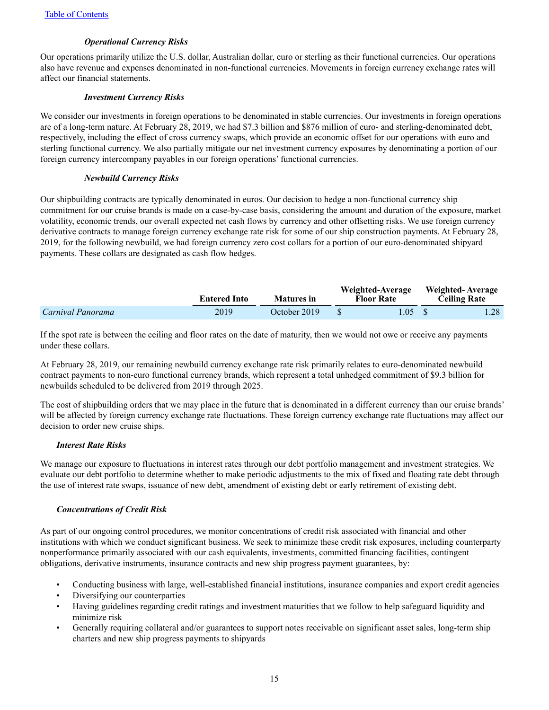#### *Operational Currency Risks*

Our operations primarily utilize the U.S. dollar, Australian dollar, euro or sterling as their functional currencies. Our operations also have revenue and expenses denominated in non-functional currencies. Movements in foreign currency exchange rates will affect our financial statements.

#### *Investment Currency Risks*

We consider our investments in foreign operations to be denominated in stable currencies. Our investments in foreign operations are of a long-term nature. At February 28, 2019, we had \$7.3 billion and \$876 million of euro- and sterling-denominated debt, respectively, including the effect of cross currency swaps, which provide an economic offset for our operations with euro and sterling functional currency. We also partially mitigate our net investment currency exposures by denominating a portion of our foreign currency intercompany payables in our foreign operations' functional currencies.

#### *Newbuild Currency Risks*

Our shipbuilding contracts are typically denominated in euros. Our decision to hedge a non-functional currency ship commitment for our cruise brands is made on a case-by-case basis, considering the amount and duration of the exposure, market volatility, economic trends, our overall expected net cash flows by currency and other offsetting risks. We use foreign currency derivative contracts to manage foreign currency exchange rate risk for some of our ship construction payments. At February 28, 2019, for the following newbuild, we had foreign currency zero cost collars for a portion of our euro-denominated shipyard payments. These collars are designated as cash flow hedges.

|                   | <b>Entered Into</b> | Matures in   | Weighted-Average<br><b>Floor Rate</b> | Weighted-Average<br><b>Ceiling Rate</b> |
|-------------------|---------------------|--------------|---------------------------------------|-----------------------------------------|
| Carnival Panorama | 2019                | October 2019 | 1.05 <sub>l</sub>                     | 1.28                                    |

If the spot rate is between the ceiling and floor rates on the date of maturity, then we would not owe or receive any payments under these collars.

At February 28, 2019, our remaining newbuild currency exchange rate risk primarily relates to euro-denominated newbuild contract payments to non-euro functional currency brands, which represent a total unhedged commitment of \$9.3 billion for newbuilds scheduled to be delivered from 2019 through 2025.

The cost of shipbuilding orders that we may place in the future that is denominated in a different currency than our cruise brands' will be affected by foreign currency exchange rate fluctuations. These foreign currency exchange rate fluctuations may affect our decision to order new cruise ships.

#### *Interest Rate Risks*

We manage our exposure to fluctuations in interest rates through our debt portfolio management and investment strategies. We evaluate our debt portfolio to determine whether to make periodic adjustments to the mix of fixed and floating rate debt through the use of interest rate swaps, issuance of new debt, amendment of existing debt or early retirement of existing debt.

#### *Concentrations of Credit Risk*

As part of our ongoing control procedures, we monitor concentrations of credit risk associated with financial and other institutions with which we conduct significant business. We seek to minimize these credit risk exposures, including counterparty nonperformance primarily associated with our cash equivalents, investments, committed financing facilities, contingent obligations, derivative instruments, insurance contracts and new ship progress payment guarantees, by:

- Conducting business with large, well-established financial institutions, insurance companies and export credit agencies
- Diversifying our counterparties
- Having guidelines regarding credit ratings and investment maturities that we follow to help safeguard liquidity and minimize risk
- Generally requiring collateral and/or guarantees to support notes receivable on significant asset sales, long-term ship charters and new ship progress payments to shipyards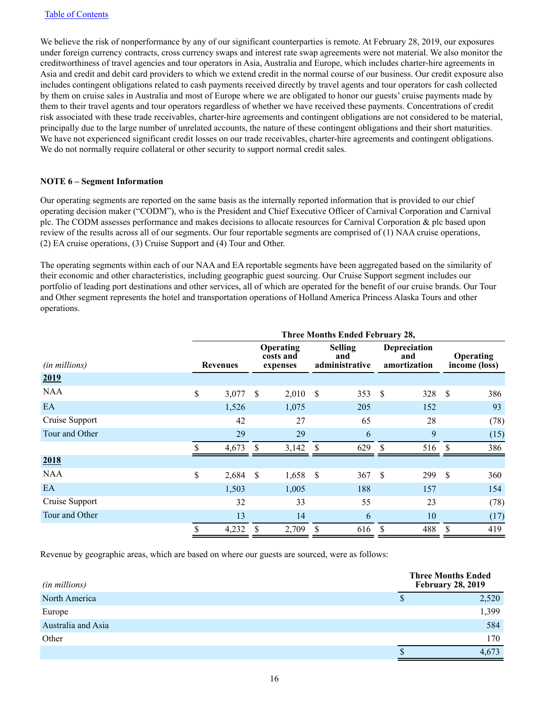We believe the risk of nonperformance by any of our significant counterparties is remote. At February 28, 2019, our exposures under foreign currency contracts, cross currency swaps and interest rate swap agreements were not material. We also monitor the creditworthiness of travel agencies and tour operators in Asia, Australia and Europe, which includes charter-hire agreements in Asia and credit and debit card providers to which we extend credit in the normal course of our business. Our credit exposure also includes contingent obligations related to cash payments received directly by travel agents and tour operators for cash collected by them on cruise sales in Australia and most of Europe where we are obligated to honor our guests' cruise payments made by them to their travel agents and tour operators regardless of whether we have received these payments. Concentrations of credit risk associated with these trade receivables, charter-hire agreements and contingent obligations are not considered to be material, principally due to the large number of unrelated accounts, the nature of these contingent obligations and their short maturities. We have not experienced significant credit losses on our trade receivables, charter-hire agreements and contingent obligations. We do not normally require collateral or other security to support normal credit sales.

#### **NOTE 6 – Segment Information**

Our operating segments are reported on the same basis as the internally reported information that is provided to our chief operating decision maker ("CODM"), who is the President and Chief Executive Officer of Carnival Corporation and Carnival plc. The CODM assesses performance and makes decisions to allocate resources for Carnival Corporation & plc based upon review of the results across all of our segments. Our four reportable segments are comprised of (1) NAA cruise operations, (2) EA cruise operations, (3) Cruise Support and (4) Tour and Other.

The operating segments within each of our NAA and EA reportable segments have been aggregated based on the similarity of their economic and other characteristics, including geographic guest sourcing. Our Cruise Support segment includes our portfolio of leading port destinations and other services, all of which are operated for the benefit of our cruise brands. Our Tour and Other segment represents the hotel and transportation operations of Holland America Princess Alaska Tours and other operations.

|                | <b>Three Months Ended February 28,</b> |                 |     |                                    |               |                                         |              |                                     |               |                            |
|----------------|----------------------------------------|-----------------|-----|------------------------------------|---------------|-----------------------------------------|--------------|-------------------------------------|---------------|----------------------------|
| (in millions)  |                                        | <b>Revenues</b> |     | Operating<br>costs and<br>expenses |               | <b>Selling</b><br>and<br>administrative |              | Depreciation<br>and<br>amortization |               | Operating<br>income (loss) |
| 2019           |                                        |                 |     |                                    |               |                                         |              |                                     |               |                            |
| <b>NAA</b>     | \$                                     | 3,077           | \$  | 2,010                              | $\mathcal{S}$ | 353                                     | $\mathbb{S}$ | 328                                 | $\mathbf{\$}$ | 386                        |
| EA             |                                        | 1,526           |     | 1,075                              |               | 205                                     |              | 152                                 |               | 93                         |
| Cruise Support |                                        | 42              |     | 27                                 |               | 65                                      |              | 28                                  |               | (78)                       |
| Tour and Other |                                        | 29              |     | 29                                 |               | 6                                       |              | 9                                   |               | (15)                       |
|                | S                                      | 4,673           | -S  | 3,142                              | -S            | 629                                     | \$.          | 516                                 | \$            | 386                        |
| 2018           |                                        |                 |     |                                    |               |                                         |              |                                     |               |                            |
| <b>NAA</b>     | \$                                     | 2,684           | -\$ | 1,658                              | <sup>\$</sup> | 367                                     | \$           | 299                                 | \$            | 360                        |
| EA             |                                        | 1,503           |     | 1,005                              |               | 188                                     |              | 157                                 |               | 154                        |
| Cruise Support |                                        | 32              |     | 33                                 |               | 55                                      |              | 23                                  |               | (78)                       |
| Tour and Other |                                        | 13              |     | 14                                 |               | 6                                       |              | 10                                  |               | (17)                       |
|                | \$                                     | 4,232           | S   | 2,709                              | \$            | 616                                     | \$           | 488                                 | \$            | 419                        |

Revenue by geographic areas, which are based on where our guests are sourced, were as follows:

| (in millions)      |    | <b>Three Months Ended</b><br><b>February 28, 2019</b> |
|--------------------|----|-------------------------------------------------------|
| North America      | \$ | 2,520                                                 |
| Europe             |    | 1,399                                                 |
| Australia and Asia |    | 584                                                   |
| Other              |    | 170                                                   |
|                    | S  | 4,673                                                 |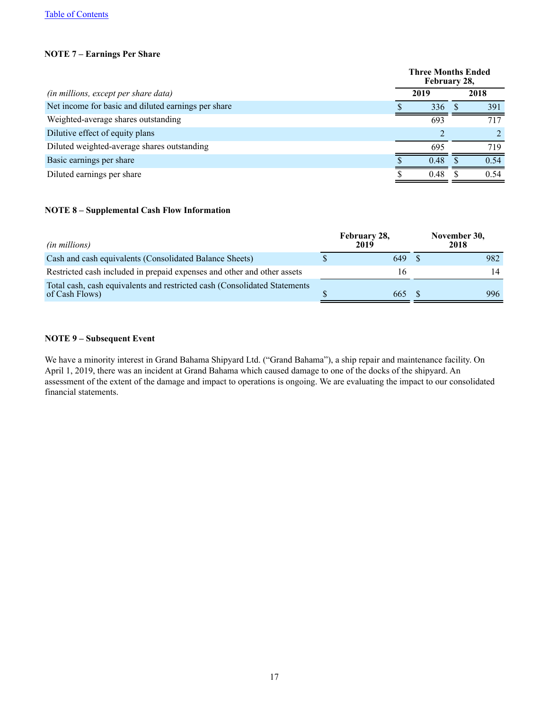# **NOTE 7 – Earnings Per Share**

|                                                     | <b>Three Months Ended</b><br>February 28, |      |  |      |  |
|-----------------------------------------------------|-------------------------------------------|------|--|------|--|
| (in millions, except per share data)                |                                           | 2019 |  | 2018 |  |
| Net income for basic and diluted earnings per share |                                           | 336  |  | 391  |  |
| Weighted-average shares outstanding                 |                                           | 693  |  | 717  |  |
| Dilutive effect of equity plans                     |                                           | 2    |  |      |  |
| Diluted weighted-average shares outstanding         |                                           | 695  |  | 719  |  |
| Basic earnings per share                            |                                           | 0.48 |  | 0.54 |  |
| Diluted earnings per share                          |                                           | 0.48 |  | 0.54 |  |
|                                                     |                                           |      |  |      |  |

### **NOTE 8 – Supplemental Cash Flow Information**

| <i>(in millions)</i>                                                                         | February 28,<br>2019 | November 30,<br>2018 |
|----------------------------------------------------------------------------------------------|----------------------|----------------------|
| Cash and cash equivalents (Consolidated Balance Sheets)                                      | 649                  | 982                  |
| Restricted cash included in prepaid expenses and other and other assets                      | 16                   | 14                   |
| Total cash, cash equivalents and restricted cash (Consolidated Statements)<br>of Cash Flows) | 665                  | 996                  |

### **NOTE 9 – Subsequent Event**

We have a minority interest in Grand Bahama Shipyard Ltd. ("Grand Bahama"), a ship repair and maintenance facility. On April 1, 2019, there was an incident at Grand Bahama which caused damage to one of the docks of the shipyard. An assessment of the extent of the damage and impact to operations is ongoing. We are evaluating the impact to our consolidated financial statements.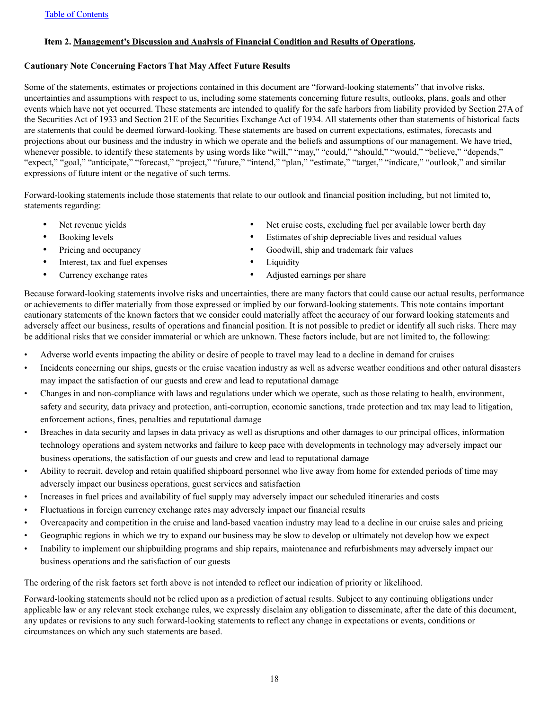## <span id="page-17-0"></span>**Item 2. Management's Discussion and Analysis of Financial Condition and Results of Operations.**

#### **Cautionary Note Concerning Factors That May Affect Future Results**

Some of the statements, estimates or projections contained in this document are "forward-looking statements" that involve risks, uncertainties and assumptions with respect to us, including some statements concerning future results, outlooks, plans, goals and other events which have not yet occurred. These statements are intended to qualify for the safe harbors from liability provided by Section 27A of the Securities Act of 1933 and Section 21E of the Securities Exchange Act of 1934. All statements other than statements of historical facts are statements that could be deemed forward-looking. These statements are based on current expectations, estimates, forecasts and projections about our business and the industry in which we operate and the beliefs and assumptions of our management. We have tried, whenever possible, to identify these statements by using words like "will," "may," "could," "should," "would," "believe," "depends," "expect," "goal," "anticipate," "forecast," "project," "future," "intend," "plan," "estimate," "target," "indicate," "outlook," and similar expressions of future intent or the negative of such terms.

Forward-looking statements include those statements that relate to our outlook and financial position including, but not limited to, statements regarding:

- 
- 
- 
- Interest, tax and fuel expenses Liquidity
- 
- Net revenue yields Net cruise costs, excluding fuel per available lower berth day
- Booking levels Estimates of ship depreciable lives and residual values
- Pricing and occupancy Goodwill, ship and trademark fair values
	-
- Currency exchange rates Adjusted earnings per share

Because forward-looking statements involve risks and uncertainties, there are many factors that could cause our actual results, performance or achievements to differ materially from those expressed or implied by our forward-looking statements. This note contains important cautionary statements of the known factors that we consider could materially affect the accuracy of our forward looking statements and adversely affect our business, results of operations and financial position. It is not possible to predict or identify all such risks. There may be additional risks that we consider immaterial or which are unknown. These factors include, but are not limited to, the following:

- Adverse world events impacting the ability or desire of people to travel may lead to a decline in demand for cruises
- Incidents concerning our ships, guests or the cruise vacation industry as well as adverse weather conditions and other natural disasters may impact the satisfaction of our guests and crew and lead to reputational damage
- Changes in and non-compliance with laws and regulations under which we operate, such as those relating to health, environment, safety and security, data privacy and protection, anti-corruption, economic sanctions, trade protection and tax may lead to litigation, enforcement actions, fines, penalties and reputational damage
- Breaches in data security and lapses in data privacy as well as disruptions and other damages to our principal offices, information technology operations and system networks and failure to keep pace with developments in technology may adversely impact our business operations, the satisfaction of our guests and crew and lead to reputational damage
- Ability to recruit, develop and retain qualified shipboard personnel who live away from home for extended periods of time may adversely impact our business operations, guest services and satisfaction
- Increases in fuel prices and availability of fuel supply may adversely impact our scheduled itineraries and costs
- Fluctuations in foreign currency exchange rates may adversely impact our financial results
- Overcapacity and competition in the cruise and land-based vacation industry may lead to a decline in our cruise sales and pricing
- Geographic regions in which we try to expand our business may be slow to develop or ultimately not develop how we expect
- Inability to implement our shipbuilding programs and ship repairs, maintenance and refurbishments may adversely impact our business operations and the satisfaction of our guests

The ordering of the risk factors set forth above is not intended to reflect our indication of priority or likelihood.

Forward-looking statements should not be relied upon as a prediction of actual results. Subject to any continuing obligations under applicable law or any relevant stock exchange rules, we expressly disclaim any obligation to disseminate, after the date of this document, any updates or revisions to any such forward-looking statements to reflect any change in expectations or events, conditions or circumstances on which any such statements are based.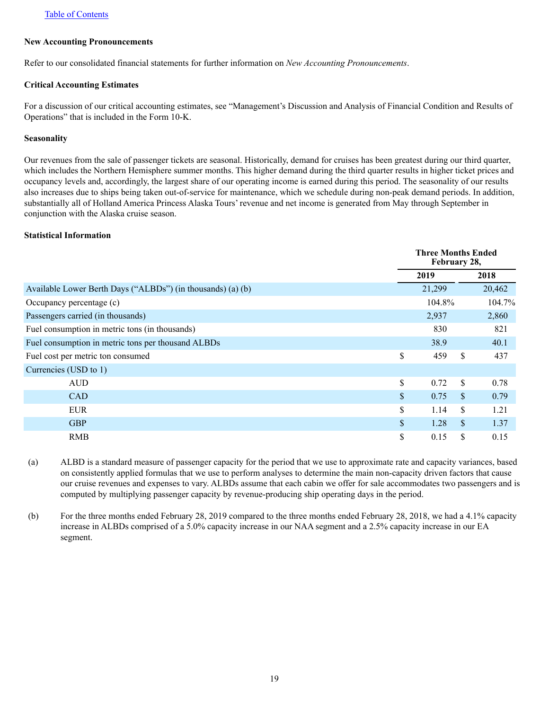#### **New Accounting Pronouncements**

Refer to our consolidated financial statements for further information on *New Accounting Pronouncements*.

#### **Critical Accounting Estimates**

For a discussion of our critical accounting estimates, see "Management's Discussion and Analysis of Financial Condition and Results of Operations" that is included in the Form 10-K.

#### **Seasonality**

Our revenues from the sale of passenger tickets are seasonal. Historically, demand for cruises has been greatest during our third quarter, which includes the Northern Hemisphere summer months. This higher demand during the third quarter results in higher ticket prices and occupancy levels and, accordingly, the largest share of our operating income is earned during this period. The seasonality of our results also increases due to ships being taken out-of-service for maintenance, which we schedule during non-peak demand periods. In addition, substantially all of Holland America Princess Alaska Tours' revenue and net income is generated from May through September in conjunction with the Alaska cruise season.

#### **Statistical Information**

|                                                             |               | <b>Three Months Ended</b><br>February 28, |               |        |  |
|-------------------------------------------------------------|---------------|-------------------------------------------|---------------|--------|--|
|                                                             |               | 2019                                      |               | 2018   |  |
| Available Lower Berth Days ("ALBDs") (in thousands) (a) (b) |               | 21,299                                    |               | 20,462 |  |
| Occupancy percentage (c)                                    |               | 104.8%                                    |               | 104.7% |  |
| Passengers carried (in thousands)                           |               | 2,937                                     |               | 2,860  |  |
| Fuel consumption in metric tons (in thousands)              |               | 830                                       |               | 821    |  |
| Fuel consumption in metric tons per thousand ALBDs          |               | 38.9                                      |               | 40.1   |  |
| Fuel cost per metric ton consumed                           | \$            | 459                                       | \$            | 437    |  |
| Currencies (USD to 1)                                       |               |                                           |               |        |  |
| <b>AUD</b>                                                  | \$            | 0.72                                      | <sup>\$</sup> | 0.78   |  |
| <b>CAD</b>                                                  | $\mathbf{\$}$ | 0.75                                      | $\mathbf{\$}$ | 0.79   |  |
| <b>EUR</b>                                                  | \$            | 1.14                                      | \$            | 1.21   |  |
| <b>GBP</b>                                                  | $\mathbf{\$}$ | 1.28                                      | \$            | 1.37   |  |
| <b>RMB</b>                                                  | \$            | 0.15                                      | \$            | 0.15   |  |

- (a) ALBD is a standard measure of passenger capacity for the period that we use to approximate rate and capacity variances, based on consistently applied formulas that we use to perform analyses to determine the main non-capacity driven factors that cause our cruise revenues and expenses to vary. ALBDs assume that each cabin we offer for sale accommodates two passengers and is computed by multiplying passenger capacity by revenue-producing ship operating days in the period.
- (b) For the three months ended February 28, 2019 compared to the three months ended February 28, 2018, we had a 4.1% capacity increase in ALBDs comprised of a 5.0% capacity increase in our NAA segment and a 2.5% capacity increase in our EA segment.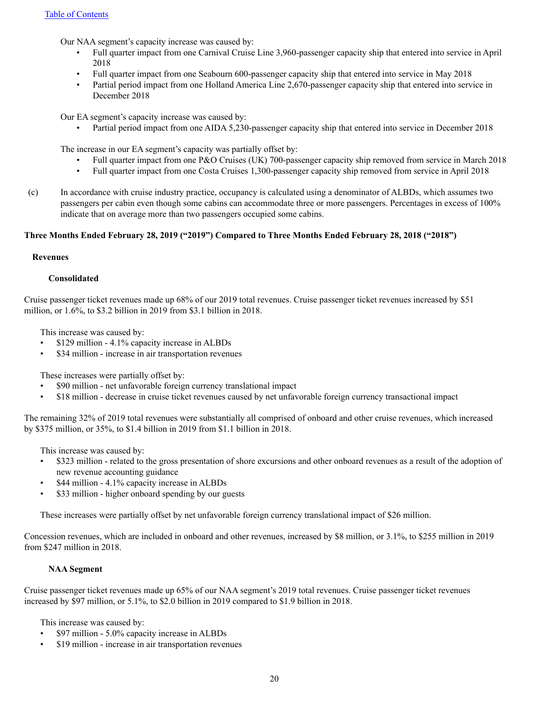Our NAA segment's capacity increase was caused by:

- Full quarter impact from one Carnival Cruise Line 3,960-passenger capacity ship that entered into service in April 2018
- Full quarter impact from one Seabourn 600-passenger capacity ship that entered into service in May 2018
- Partial period impact from one Holland America Line 2,670-passenger capacity ship that entered into service in December 2018

Our EA segment's capacity increase was caused by:

• Partial period impact from one AIDA 5,230-passenger capacity ship that entered into service in December 2018

The increase in our EA segment's capacity was partially offset by:

- Full quarter impact from one P&O Cruises (UK) 700-passenger capacity ship removed from service in March 2018
- Full quarter impact from one Costa Cruises 1,300-passenger capacity ship removed from service in April 2018
- (c) In accordance with cruise industry practice, occupancy is calculated using a denominator of ALBDs, which assumes two passengers per cabin even though some cabins can accommodate three or more passengers. Percentages in excess of 100% indicate that on average more than two passengers occupied some cabins.

#### **Three Months Ended February 28, 2019 ("2019") Compared to Three Months Ended February 28, 2018 ("2018")**

#### **Revenues**

#### **Consolidated**

Cruise passenger ticket revenues made up 68% of our 2019 total revenues. Cruise passenger ticket revenues increased by \$51 million, or 1.6%, to \$3.2 billion in 2019 from \$3.1 billion in 2018.

This increase was caused by:

- \$129 million 4.1% capacity increase in ALBDs
- \$34 million increase in air transportation revenues

These increases were partially offset by:

- \$90 million net unfavorable foreign currency translational impact
- \$18 million decrease in cruise ticket revenues caused by net unfavorable foreign currency transactional impact

The remaining 32% of 2019 total revenues were substantially all comprised of onboard and other cruise revenues, which increased by \$375 million, or 35%, to \$1.4 billion in 2019 from \$1.1 billion in 2018.

This increase was caused by:

- \$323 million related to the gross presentation of shore excursions and other onboard revenues as a result of the adoption of new revenue accounting guidance
- \$44 million 4.1% capacity increase in ALBDs
- \$33 million higher onboard spending by our guests

These increases were partially offset by net unfavorable foreign currency translational impact of \$26 million.

Concession revenues, which are included in onboard and other revenues, increased by \$8 million, or 3.1%, to \$255 million in 2019 from \$247 million in 2018.

#### **NAA Segment**

Cruise passenger ticket revenues made up 65% of our NAA segment's 2019 total revenues. Cruise passenger ticket revenues increased by \$97 million, or 5.1%, to \$2.0 billion in 2019 compared to \$1.9 billion in 2018.

This increase was caused by:

- \$97 million 5.0% capacity increase in ALBDs
- \$19 million increase in air transportation revenues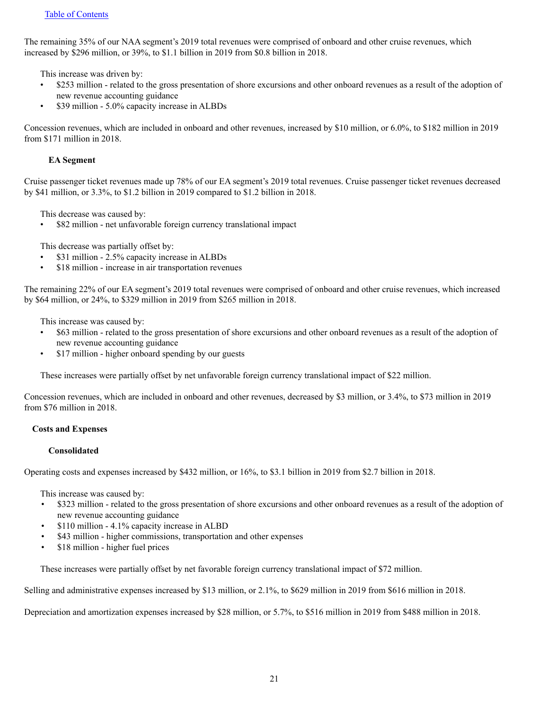The remaining 35% of our NAA segment's 2019 total revenues were comprised of onboard and other cruise revenues, which increased by \$296 million, or 39%, to \$1.1 billion in 2019 from \$0.8 billion in 2018.

This increase was driven by:

- \$253 million related to the gross presentation of shore excursions and other onboard revenues as a result of the adoption of new revenue accounting guidance
- \$39 million 5.0% capacity increase in ALBDs

Concession revenues, which are included in onboard and other revenues, increased by \$10 million, or 6.0%, to \$182 million in 2019 from \$171 million in 2018.

#### **EA Segment**

Cruise passenger ticket revenues made up 78% of our EA segment's 2019 total revenues. Cruise passenger ticket revenues decreased by \$41 million, or 3.3%, to \$1.2 billion in 2019 compared to \$1.2 billion in 2018.

This decrease was caused by:

\$82 million - net unfavorable foreign currency translational impact

This decrease was partially offset by:

- \$31 million 2.5% capacity increase in ALBDs
- \$18 million increase in air transportation revenues

The remaining 22% of our EA segment's 2019 total revenues were comprised of onboard and other cruise revenues, which increased by \$64 million, or 24%, to \$329 million in 2019 from \$265 million in 2018.

This increase was caused by:

- \$63 million related to the gross presentation of shore excursions and other onboard revenues as a result of the adoption of new revenue accounting guidance
- \$17 million higher onboard spending by our guests

These increases were partially offset by net unfavorable foreign currency translational impact of \$22 million.

Concession revenues, which are included in onboard and other revenues, decreased by \$3 million, or 3.4%, to \$73 million in 2019 from \$76 million in 2018.

#### **Costs and Expenses**

#### **Consolidated**

Operating costs and expenses increased by \$432 million, or 16%, to \$3.1 billion in 2019 from \$2.7 billion in 2018.

This increase was caused by:

- \$323 million related to the gross presentation of shore excursions and other onboard revenues as a result of the adoption of new revenue accounting guidance
- \$110 million 4.1% capacity increase in ALBD
- \$43 million higher commissions, transportation and other expenses
- \$18 million higher fuel prices

These increases were partially offset by net favorable foreign currency translational impact of \$72 million.

Selling and administrative expenses increased by \$13 million, or 2.1%, to \$629 million in 2019 from \$616 million in 2018.

Depreciation and amortization expenses increased by \$28 million, or 5.7%, to \$516 million in 2019 from \$488 million in 2018.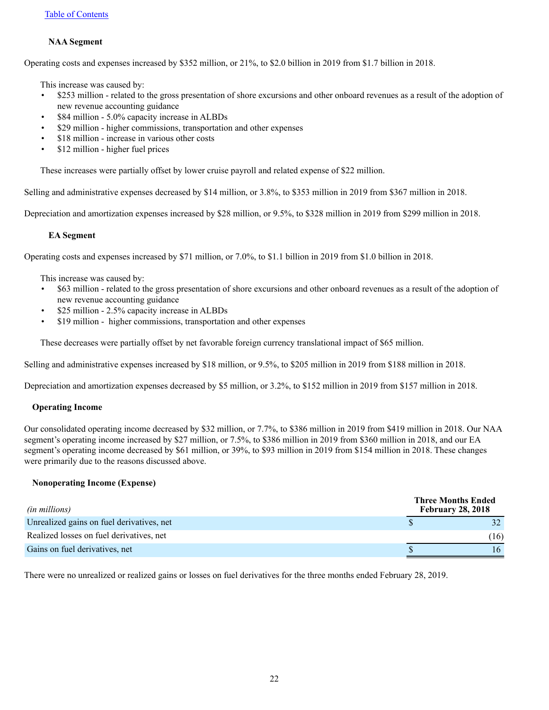## **NAA Segment**

Operating costs and expenses increased by \$352 million, or 21%, to \$2.0 billion in 2019 from \$1.7 billion in 2018.

This increase was caused by:

- \$253 million related to the gross presentation of shore excursions and other onboard revenues as a result of the adoption of new revenue accounting guidance
- \$84 million 5.0% capacity increase in ALBDs
- \$29 million higher commissions, transportation and other expenses
- \$18 million increase in various other costs
- \$12 million higher fuel prices

These increases were partially offset by lower cruise payroll and related expense of \$22 million.

Selling and administrative expenses decreased by \$14 million, or 3.8%, to \$353 million in 2019 from \$367 million in 2018.

Depreciation and amortization expenses increased by \$28 million, or 9.5%, to \$328 million in 2019 from \$299 million in 2018.

#### **EA Segment**

Operating costs and expenses increased by \$71 million, or 7.0%, to \$1.1 billion in 2019 from \$1.0 billion in 2018.

This increase was caused by:

- \$63 million related to the gross presentation of shore excursions and other onboard revenues as a result of the adoption of new revenue accounting guidance
- \$25 million 2.5% capacity increase in ALBDs
- \$19 million higher commissions, transportation and other expenses

These decreases were partially offset by net favorable foreign currency translational impact of \$65 million.

Selling and administrative expenses increased by \$18 million, or 9.5%, to \$205 million in 2019 from \$188 million in 2018.

Depreciation and amortization expenses decreased by \$5 million, or 3.2%, to \$152 million in 2019 from \$157 million in 2018.

#### **Operating Income**

Our consolidated operating income decreased by \$32 million, or 7.7%, to \$386 million in 2019 from \$419 million in 2018. Our NAA segment's operating income increased by \$27 million, or 7.5%, to \$386 million in 2019 from \$360 million in 2018, and our EA segment's operating income decreased by \$61 million, or 39%, to \$93 million in 2019 from \$154 million in 2018. These changes were primarily due to the reasons discussed above.

#### **Nonoperating Income (Expense)**

| <i>(in millions)</i>                      | <b>Three Months Ended</b><br><b>February 28, 2018</b> |
|-------------------------------------------|-------------------------------------------------------|
| Unrealized gains on fuel derivatives, net |                                                       |
| Realized losses on fuel derivatives, net  | [16]                                                  |
| Gains on fuel derivatives, net            |                                                       |

There were no unrealized or realized gains or losses on fuel derivatives for the three months ended February 28, 2019.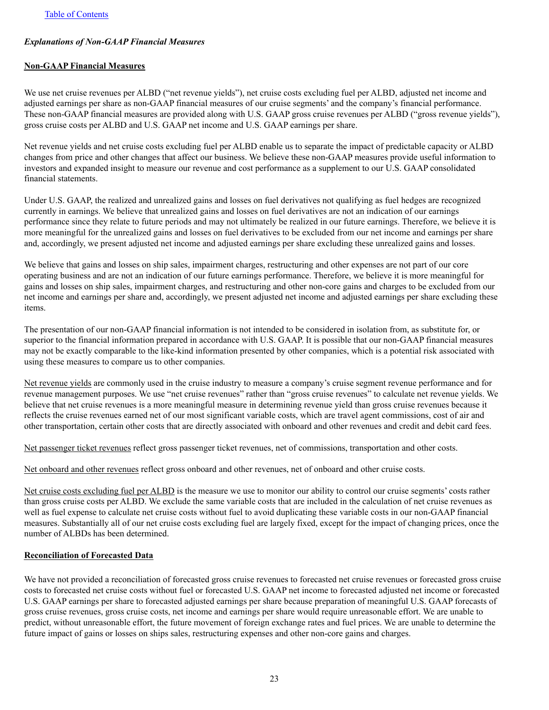#### *Explanations of Non-GAAP Financial Measures*

#### **Non-GAAP Financial Measures**

We use net cruise revenues per ALBD ("net revenue yields"), net cruise costs excluding fuel per ALBD, adjusted net income and adjusted earnings per share as non-GAAP financial measures of our cruise segments' and the company's financial performance. These non-GAAP financial measures are provided along with U.S. GAAP gross cruise revenues per ALBD ("gross revenue yields"), gross cruise costs per ALBD and U.S. GAAP net income and U.S. GAAP earnings per share.

Net revenue yields and net cruise costs excluding fuel per ALBD enable us to separate the impact of predictable capacity or ALBD changes from price and other changes that affect our business. We believe these non-GAAP measures provide useful information to investors and expanded insight to measure our revenue and cost performance as a supplement to our U.S. GAAP consolidated financial statements.

Under U.S. GAAP, the realized and unrealized gains and losses on fuel derivatives not qualifying as fuel hedges are recognized currently in earnings. We believe that unrealized gains and losses on fuel derivatives are not an indication of our earnings performance since they relate to future periods and may not ultimately be realized in our future earnings. Therefore, we believe it is more meaningful for the unrealized gains and losses on fuel derivatives to be excluded from our net income and earnings per share and, accordingly, we present adjusted net income and adjusted earnings per share excluding these unrealized gains and losses.

We believe that gains and losses on ship sales, impairment charges, restructuring and other expenses are not part of our core operating business and are not an indication of our future earnings performance. Therefore, we believe it is more meaningful for gains and losses on ship sales, impairment charges, and restructuring and other non-core gains and charges to be excluded from our net income and earnings per share and, accordingly, we present adjusted net income and adjusted earnings per share excluding these items.

The presentation of our non-GAAP financial information is not intended to be considered in isolation from, as substitute for, or superior to the financial information prepared in accordance with U.S. GAAP. It is possible that our non-GAAP financial measures may not be exactly comparable to the like-kind information presented by other companies, which is a potential risk associated with using these measures to compare us to other companies.

Net revenue yields are commonly used in the cruise industry to measure a company's cruise segment revenue performance and for revenue management purposes. We use "net cruise revenues" rather than "gross cruise revenues" to calculate net revenue yields. We believe that net cruise revenues is a more meaningful measure in determining revenue yield than gross cruise revenues because it reflects the cruise revenues earned net of our most significant variable costs, which are travel agent commissions, cost of air and other transportation, certain other costs that are directly associated with onboard and other revenues and credit and debit card fees.

Net passenger ticket revenues reflect gross passenger ticket revenues, net of commissions, transportation and other costs.

Net onboard and other revenues reflect gross onboard and other revenues, net of onboard and other cruise costs.

Net cruise costs excluding fuel per ALBD is the measure we use to monitor our ability to control our cruise segments' costs rather than gross cruise costs per ALBD. We exclude the same variable costs that are included in the calculation of net cruise revenues as well as fuel expense to calculate net cruise costs without fuel to avoid duplicating these variable costs in our non-GAAP financial measures. Substantially all of our net cruise costs excluding fuel are largely fixed, except for the impact of changing prices, once the number of ALBDs has been determined.

#### **Reconciliation of Forecasted Data**

We have not provided a reconciliation of forecasted gross cruise revenues to forecasted net cruise revenues or forecasted gross cruise costs to forecasted net cruise costs without fuel or forecasted U.S. GAAP net income to forecasted adjusted net income or forecasted U.S. GAAP earnings per share to forecasted adjusted earnings per share because preparation of meaningful U.S. GAAP forecasts of gross cruise revenues, gross cruise costs, net income and earnings per share would require unreasonable effort. We are unable to predict, without unreasonable effort, the future movement of foreign exchange rates and fuel prices. We are unable to determine the future impact of gains or losses on ships sales, restructuring expenses and other non-core gains and charges.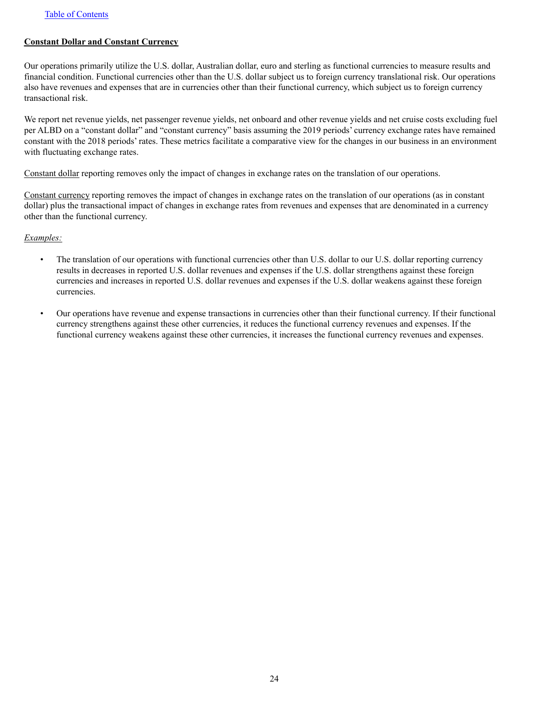### **Constant Dollar and Constant Currency**

Our operations primarily utilize the U.S. dollar, Australian dollar, euro and sterling as functional currencies to measure results and financial condition. Functional currencies other than the U.S. dollar subject us to foreign currency translational risk. Our operations also have revenues and expenses that are in currencies other than their functional currency, which subject us to foreign currency transactional risk.

We report net revenue yields, net passenger revenue yields, net onboard and other revenue yields and net cruise costs excluding fuel per ALBD on a "constant dollar" and "constant currency" basis assuming the 2019 periods' currency exchange rates have remained constant with the 2018 periods' rates. These metrics facilitate a comparative view for the changes in our business in an environment with fluctuating exchange rates.

Constant dollar reporting removes only the impact of changes in exchange rates on the translation of our operations.

Constant currency reporting removes the impact of changes in exchange rates on the translation of our operations (as in constant dollar) plus the transactional impact of changes in exchange rates from revenues and expenses that are denominated in a currency other than the functional currency.

#### *Examples:*

- The translation of our operations with functional currencies other than U.S. dollar to our U.S. dollar reporting currency results in decreases in reported U.S. dollar revenues and expenses if the U.S. dollar strengthens against these foreign currencies and increases in reported U.S. dollar revenues and expenses if the U.S. dollar weakens against these foreign currencies.
- Our operations have revenue and expense transactions in currencies other than their functional currency. If their functional currency strengthens against these other currencies, it reduces the functional currency revenues and expenses. If the functional currency weakens against these other currencies, it increases the functional currency revenues and expenses.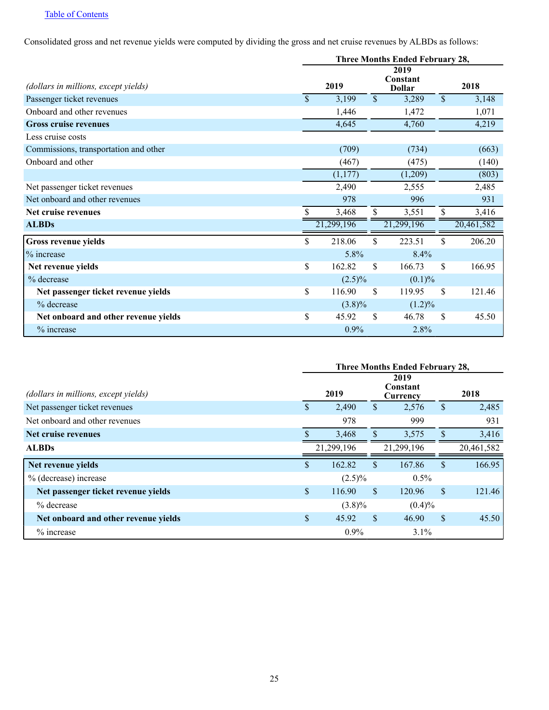# Table of Contents

Consolidated gross and net revenue yields were computed by dividing the gross and net cruise revenues by ALBDs as follows:

|                                       |                    | <b>Three Months Ended February 28,</b> |             |                                   |     |            |  |  |
|---------------------------------------|--------------------|----------------------------------------|-------------|-----------------------------------|-----|------------|--|--|
| (dollars in millions, except yields)  |                    | 2019                                   |             | 2019<br>Constant<br><b>Dollar</b> |     | 2018       |  |  |
| Passenger ticket revenues             | $\mathbf{\hat{S}}$ | 3,199                                  | $\sqrt{\ }$ | 3,289                             | \$  | 3,148      |  |  |
| Onboard and other revenues            |                    | 1,446                                  |             | 1,472                             |     | 1,071      |  |  |
| <b>Gross cruise revenues</b>          |                    | 4,645                                  |             | 4,760                             |     | 4,219      |  |  |
| Less cruise costs                     |                    |                                        |             |                                   |     |            |  |  |
| Commissions, transportation and other |                    | (709)                                  |             | (734)                             |     | (663)      |  |  |
| Onboard and other                     |                    | (467)                                  |             | (475)                             |     | (140)      |  |  |
|                                       |                    | (1, 177)                               |             | (1,209)                           |     | (803)      |  |  |
| Net passenger ticket revenues         |                    | 2,490                                  |             | 2,555                             |     | 2,485      |  |  |
| Net onboard and other revenues        |                    | 978                                    |             | 996                               |     | 931        |  |  |
| Net cruise revenues                   | S                  | 3,468                                  | \$          | 3,551                             | \$  | 3,416      |  |  |
| <b>ALBDs</b>                          |                    | 21,299,196                             |             | 21,299,196                        |     | 20,461,582 |  |  |
| Gross revenue yields                  | \$                 | 218.06                                 | \$          | 223.51                            | \$  | 206.20     |  |  |
| % increase                            |                    | 5.8%                                   |             | 8.4%                              |     |            |  |  |
| Net revenue yields                    | \$                 | 162.82                                 | \$          | 166.73                            | \$  | 166.95     |  |  |
| % decrease                            |                    | $(2.5)\%$                              |             | $(0.1)\%$                         |     |            |  |  |
| Net passenger ticket revenue yields   | \$                 | 116.90                                 | \$          | 119.95                            | \$. | 121.46     |  |  |
| % decrease                            |                    | $(3.8)\%$                              |             | $(1.2)\%$                         |     |            |  |  |
| Net onboard and other revenue yields  | \$                 | 45.92                                  | \$          | 46.78                             | \$  | 45.50      |  |  |
| % increase                            |                    | 0.9%                                   |             | 2.8%                              |     |            |  |  |

|                                      | <b>Three Months Ended February 28,</b> |           |               |           |               |        |  |
|--------------------------------------|----------------------------------------|-----------|---------------|-----------|---------------|--------|--|
| (dollars in millions, except yields) | 2019<br>Constant<br>2019<br>Currency   |           |               |           |               | 2018   |  |
| Net passenger ticket revenues        | Ж.                                     | 2,490     | \$            | 2,576     | \$            | 2,485  |  |
| Net onboard and other revenues       |                                        | 978       |               | 999       |               | 931    |  |
| Net cruise revenues                  |                                        | 3.468     |               | 3,575     |               | 3,416  |  |
| <b>ALBDs</b>                         | 21,299,196<br>21,299,196               |           |               |           | 20,461,582    |        |  |
| Net revenue yields                   | \$                                     | 162.82    | \$.           | 167.86    | $\mathcal{S}$ | 166.95 |  |
| % (decrease) increase                |                                        | $(2.5)\%$ |               | 0.5%      |               |        |  |
| Net passenger ticket revenue yields  | \$                                     | 116.90    | \$.           | 120.96    | \$.           | 121.46 |  |
| % decrease                           |                                        | $(3.8)\%$ |               | $(0.4)\%$ |               |        |  |
| Net onboard and other revenue yields | \$                                     | 45.92     | <sup>\$</sup> | 46.90     | \$            | 45.50  |  |
| % increase                           |                                        | $0.9\%$   |               | $3.1\%$   |               |        |  |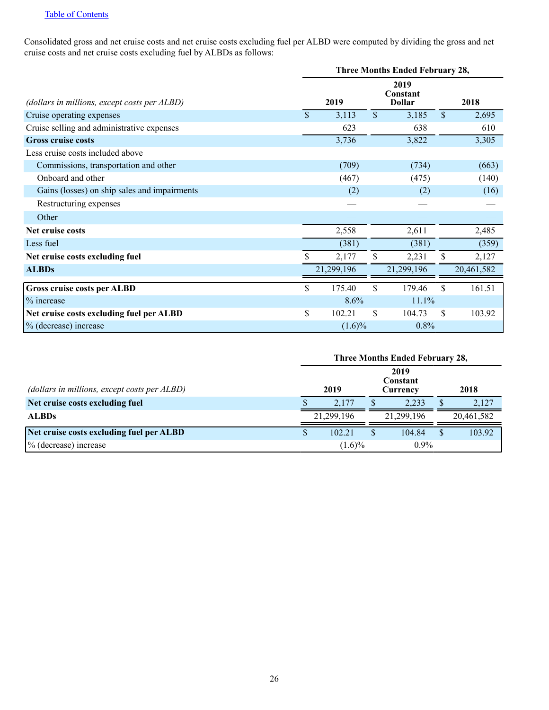# Table of Contents

Consolidated gross and net cruise costs and net cruise costs excluding fuel per ALBD were computed by dividing the gross and net cruise costs and net cruise costs excluding fuel by ALBDs as follows:

|                                              | Three Months Ended February 28,           |    |            |               |            |  |  |
|----------------------------------------------|-------------------------------------------|----|------------|---------------|------------|--|--|
| (dollars in millions, except costs per ALBD) | 2019<br>Constant<br>2019<br><b>Dollar</b> |    |            | 2018          |            |  |  |
| Cruise operating expenses                    | \$<br>3,113                               | \$ | 3,185      | $\mathbf{\$}$ | 2,695      |  |  |
| Cruise selling and administrative expenses   | 623                                       |    | 638        |               | 610        |  |  |
| <b>Gross cruise costs</b>                    | 3,736                                     |    | 3,822      |               | 3,305      |  |  |
| Less cruise costs included above             |                                           |    |            |               |            |  |  |
| Commissions, transportation and other        | (709)                                     |    | (734)      |               | (663)      |  |  |
| Onboard and other                            | (467)                                     |    | (475)      |               | (140)      |  |  |
| Gains (losses) on ship sales and impairments | (2)                                       |    | (2)        |               | (16)       |  |  |
| Restructuring expenses                       |                                           |    |            |               |            |  |  |
| Other                                        |                                           |    |            |               |            |  |  |
| Net cruise costs                             | 2,558                                     |    | 2,611      |               | 2,485      |  |  |
| Less fuel                                    | (381)                                     |    | (381)      |               | (359)      |  |  |
| Net cruise costs excluding fuel              | 2,177                                     |    | 2,231      | \$            | 2,127      |  |  |
| <b>ALBDs</b>                                 | 21,299,196                                |    | 21,299,196 |               | 20,461,582 |  |  |
| Gross cruise costs per ALBD                  | \$<br>175.40                              | \$ | 179.46     | \$            | 161.51     |  |  |
| % increase                                   | 8.6%                                      |    | 11.1%      |               |            |  |  |
| Net cruise costs excluding fuel per ALBD     | \$<br>102.21                              | \$ | 104.73     | \$.           | 103.92     |  |  |
| % (decrease) increase                        | $(1.6)\%$                                 |    | 0.8%       |               |            |  |  |

|                                              | <b>Three Months Ended February 28,</b> |            |                              |            |  |            |      |
|----------------------------------------------|----------------------------------------|------------|------------------------------|------------|--|------------|------|
| (dollars in millions, except costs per ALBD) | 2019                                   |            | 2019<br>Constant<br>Currency |            |  |            | 2018 |
| Net cruise costs excluding fuel              |                                        | 2.177      |                              | 2,233      |  | 2,127      |      |
| <b>ALBDs</b>                                 |                                        | 21,299,196 |                              | 21.299.196 |  | 20,461,582 |      |
| Net cruise costs excluding fuel per ALBD     |                                        | 102.21     |                              | 104.84     |  | 103.92     |      |
| $\frac{9}{6}$ (decrease) increase            |                                        | $(1.6)\%$  |                              | $0.9\%$    |  |            |      |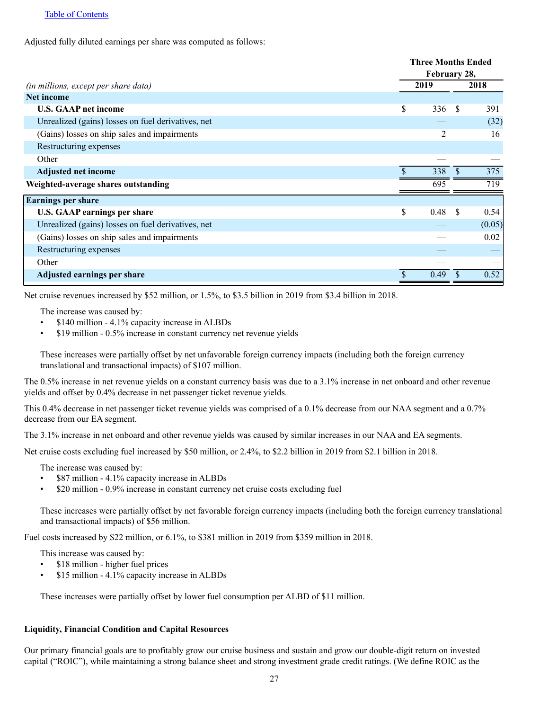Adjusted fully diluted earnings per share was computed as follows:

|                                                    | <b>Three Months Ended</b><br>February 28, |                |               |        |
|----------------------------------------------------|-------------------------------------------|----------------|---------------|--------|
| (in millions, except per share data)               |                                           | 2019           |               | 2018   |
| <b>Net income</b>                                  |                                           |                |               |        |
| <b>U.S. GAAP net income</b>                        | \$                                        | 336            | -S            | 391    |
| Unrealized (gains) losses on fuel derivatives, net |                                           |                |               | (32)   |
| (Gains) losses on ship sales and impairments       |                                           | $\overline{2}$ |               | 16     |
| Restructuring expenses                             |                                           |                |               |        |
| Other                                              |                                           |                |               |        |
| <b>Adjusted net income</b>                         |                                           | 338            | <sup>\$</sup> | 375    |
| Weighted-average shares outstanding                |                                           | 695            |               | 719    |
| <b>Earnings per share</b>                          |                                           |                |               |        |
| <b>U.S. GAAP earnings per share</b>                | \$                                        | 0.48           | -S            | 0.54   |
| Unrealized (gains) losses on fuel derivatives, net |                                           |                |               | (0.05) |
| (Gains) losses on ship sales and impairments       |                                           |                |               | 0.02   |
| Restructuring expenses                             |                                           |                |               |        |
| Other                                              |                                           |                |               |        |
| Adjusted earnings per share                        |                                           | 0.49           | -S            | 0.52   |

Net cruise revenues increased by \$52 million, or 1.5%, to \$3.5 billion in 2019 from \$3.4 billion in 2018.

- The increase was caused by:
- \$140 million 4.1% capacity increase in ALBDs
- \$19 million 0.5% increase in constant currency net revenue yields

These increases were partially offset by net unfavorable foreign currency impacts (including both the foreign currency translational and transactional impacts) of \$107 million.

The 0.5% increase in net revenue yields on a constant currency basis was due to a 3.1% increase in net onboard and other revenue yields and offset by 0.4% decrease in net passenger ticket revenue yields.

This 0.4% decrease in net passenger ticket revenue yields was comprised of a 0.1% decrease from our NAA segment and a 0.7% decrease from our EA segment.

The 3.1% increase in net onboard and other revenue yields was caused by similar increases in our NAA and EA segments.

Net cruise costs excluding fuel increased by \$50 million, or 2.4%, to \$2.2 billion in 2019 from \$2.1 billion in 2018.

The increase was caused by:

- \$87 million 4.1% capacity increase in ALBDs
- \$20 million 0.9% increase in constant currency net cruise costs excluding fuel

These increases were partially offset by net favorable foreign currency impacts (including both the foreign currency translational and transactional impacts) of \$56 million.

Fuel costs increased by \$22 million, or 6.1%, to \$381 million in 2019 from \$359 million in 2018.

This increase was caused by:

- \$18 million higher fuel prices
- \$15 million 4.1% capacity increase in ALBDs

These increases were partially offset by lower fuel consumption per ALBD of \$11 million.

#### **Liquidity, Financial Condition and Capital Resources**

Our primary financial goals are to profitably grow our cruise business and sustain and grow our double-digit return on invested capital ("ROIC"), while maintaining a strong balance sheet and strong investment grade credit ratings. (We define ROIC as the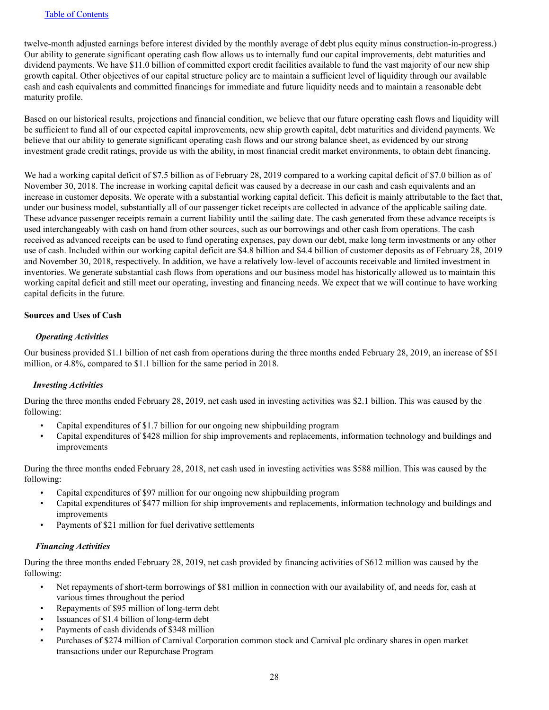twelve-month adjusted earnings before interest divided by the monthly average of debt plus equity minus construction-in-progress.) Our ability to generate significant operating cash flow allows us to internally fund our capital improvements, debt maturities and dividend payments. We have \$11.0 billion of committed export credit facilities available to fund the vast majority of our new ship growth capital. Other objectives of our capital structure policy are to maintain a sufficient level of liquidity through our available cash and cash equivalents and committed financings for immediate and future liquidity needs and to maintain a reasonable debt maturity profile.

Based on our historical results, projections and financial condition, we believe that our future operating cash flows and liquidity will be sufficient to fund all of our expected capital improvements, new ship growth capital, debt maturities and dividend payments. We believe that our ability to generate significant operating cash flows and our strong balance sheet, as evidenced by our strong investment grade credit ratings, provide us with the ability, in most financial credit market environments, to obtain debt financing.

We had a working capital deficit of \$7.5 billion as of February 28, 2019 compared to a working capital deficit of \$7.0 billion as of November 30, 2018. The increase in working capital deficit was caused by a decrease in our cash and cash equivalents and an increase in customer deposits. We operate with a substantial working capital deficit. This deficit is mainly attributable to the fact that, under our business model, substantially all of our passenger ticket receipts are collected in advance of the applicable sailing date. These advance passenger receipts remain a current liability until the sailing date. The cash generated from these advance receipts is used interchangeably with cash on hand from other sources, such as our borrowings and other cash from operations. The cash received as advanced receipts can be used to fund operating expenses, pay down our debt, make long term investments or any other use of cash. Included within our working capital deficit are \$4.8 billion and \$4.4 billion of customer deposits as of February 28, 2019 and November 30, 2018, respectively. In addition, we have a relatively low-level of accounts receivable and limited investment in inventories. We generate substantial cash flows from operations and our business model has historically allowed us to maintain this working capital deficit and still meet our operating, investing and financing needs. We expect that we will continue to have working capital deficits in the future.

### **Sources and Uses of Cash**

### *Operating Activities*

Our business provided \$1.1 billion of net cash from operations during the three months ended February 28, 2019, an increase of \$51 million, or 4.8%, compared to \$1.1 billion for the same period in 2018.

# *Investing Activities*

During the three months ended February 28, 2019, net cash used in investing activities was \$2.1 billion. This was caused by the following:

- Capital expenditures of \$1.7 billion for our ongoing new shipbuilding program
- Capital expenditures of \$428 million for ship improvements and replacements, information technology and buildings and improvements

During the three months ended February 28, 2018, net cash used in investing activities was \$588 million. This was caused by the following:

- Capital expenditures of \$97 million for our ongoing new shipbuilding program
- Capital expenditures of \$477 million for ship improvements and replacements, information technology and buildings and improvements
- Payments of \$21 million for fuel derivative settlements

#### *Financing Activities*

During the three months ended February 28, 2019, net cash provided by financing activities of \$612 million was caused by the following:

- Net repayments of short-term borrowings of \$81 million in connection with our availability of, and needs for, cash at various times throughout the period
- Repayments of \$95 million of long-term debt
- Issuances of \$1.4 billion of long-term debt
- Payments of cash dividends of \$348 million
- Purchases of \$274 million of Carnival Corporation common stock and Carnival plc ordinary shares in open market transactions under our Repurchase Program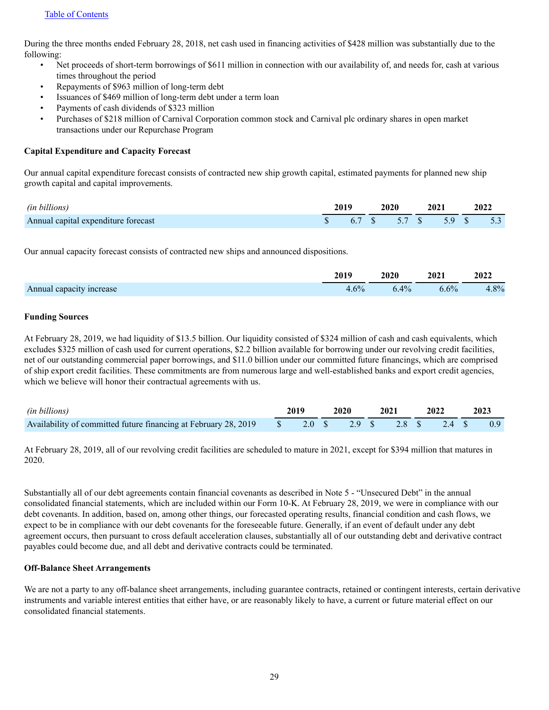During the three months ended February 28, 2018, net cash used in financing activities of \$428 million was substantially due to the following:

- Net proceeds of short-term borrowings of \$611 million in connection with our availability of, and needs for, cash at various times throughout the period
- Repayments of \$963 million of long-term debt
- Issuances of \$469 million of long-term debt under a term loan
- Payments of cash dividends of \$323 million
- Purchases of \$218 million of Carnival Corporation common stock and Carnival plc ordinary shares in open market transactions under our Repurchase Program

#### **Capital Expenditure and Capacity Forecast**

Our annual capital expenditure forecast consists of contracted new ship growth capital, estimated payments for planned new ship growth capital and capital improvements.

| <i>(in billions)</i>                |  |  | 2020 |  | 2021 |  | 2022                                                                                                           |  |
|-------------------------------------|--|--|------|--|------|--|----------------------------------------------------------------------------------------------------------------|--|
| Annual capital expenditure forecast |  |  |      |  |      |  | $\begin{array}{ccccccccccccc}\n\text{S} & 6.7 & \text{S} & 5.7 & \text{S} & 5.9 & \text{S} & 5.3\n\end{array}$ |  |

Our annual capacity forecast consists of contracted new ships and announced dispositions.

|                          | 2019 | <b>2020</b> | 2021    | 2022 |
|--------------------------|------|-------------|---------|------|
| Annual capacity increase | 4.6% | $6.4\%$     | $6.6\%$ | 4.8% |

#### **Funding Sources**

At February 28, 2019, we had liquidity of \$13.5 billion. Our liquidity consisted of \$324 million of cash and cash equivalents, which excludes \$325 million of cash used for current operations, \$2.2 billion available for borrowing under our revolving credit facilities, net of our outstanding commercial paper borrowings, and \$11.0 billion under our committed future financings, which are comprised of ship export credit facilities. These commitments are from numerous large and well-established banks and export credit agencies, which we believe will honor their contractual agreements with us.

| <i>(in billions)</i>                                                                           | 2019 |  | 2020 2021 2022 |  | 2023 |
|------------------------------------------------------------------------------------------------|------|--|----------------|--|------|
| Availability of committed future financing at February 28, 2019 \$2.0 \$2.9 \$2.8 \$2.4 \$ 0.9 |      |  |                |  |      |

At February 28, 2019, all of our revolving credit facilities are scheduled to mature in 2021, except for \$394 million that matures in 2020.

Substantially all of our debt agreements contain financial covenants as described in Note 5 - "Unsecured Debt" in the annual consolidated financial statements, which are included within our Form 10-K. At February 28, 2019, we were in compliance with our debt covenants. In addition, based on, among other things, our forecasted operating results, financial condition and cash flows, we expect to be in compliance with our debt covenants for the foreseeable future. Generally, if an event of default under any debt agreement occurs, then pursuant to cross default acceleration clauses, substantially all of our outstanding debt and derivative contract payables could become due, and all debt and derivative contracts could be terminated.

#### **Off-Balance Sheet Arrangements**

We are not a party to any off-balance sheet arrangements, including guarantee contracts, retained or contingent interests, certain derivative instruments and variable interest entities that either have, or are reasonably likely to have, a current or future material effect on our consolidated financial statements.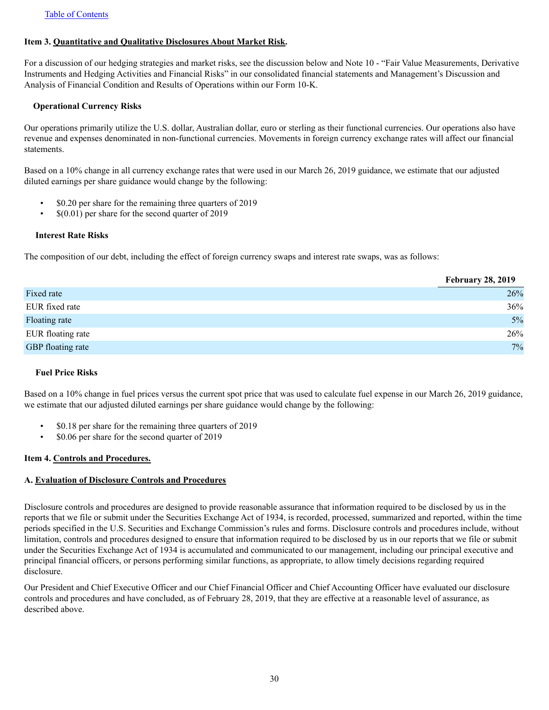#### <span id="page-29-0"></span>**Item 3. Quantitative and Qualitative Disclosures About Market Risk.**

For a discussion of our hedging strategies and market risks, see the discussion below and Note 10 - "Fair Value Measurements, Derivative Instruments and Hedging Activities and Financial Risks" in our consolidated financial statements and Management's Discussion and Analysis of Financial Condition and Results of Operations within our Form 10-K.

#### **Operational Currency Risks**

Our operations primarily utilize the U.S. dollar, Australian dollar, euro or sterling as their functional currencies. Our operations also have revenue and expenses denominated in non-functional currencies. Movements in foreign currency exchange rates will affect our financial statements.

Based on a 10% change in all currency exchange rates that were used in our March 26, 2019 guidance, we estimate that our adjusted diluted earnings per share guidance would change by the following:

- \$0.20 per share for the remaining three quarters of 2019
- $\frac{\$(0.01)}{\$(0.01)}$  per share for the second quarter of 2019

#### **Interest Rate Risks**

The composition of our debt, including the effect of foreign currency swaps and interest rate swaps, was as follows:

|                   | <b>February 28, 2019</b> |
|-------------------|--------------------------|
| Fixed rate        | 26%                      |
| EUR fixed rate    | 36%                      |
| Floating rate     | $5\%$                    |
| EUR floating rate | 26%                      |
| GBP floating rate | 7%                       |

#### **Fuel Price Risks**

Based on a 10% change in fuel prices versus the current spot price that was used to calculate fuel expense in our March 26, 2019 guidance, we estimate that our adjusted diluted earnings per share guidance would change by the following:

- \$0.18 per share for the remaining three quarters of 2019
- \$0.06 per share for the second quarter of 2019

#### **Item 4. Controls and Procedures.**

#### **A. Evaluation of Disclosure Controls and Procedures**

Disclosure controls and procedures are designed to provide reasonable assurance that information required to be disclosed by us in the reports that we file or submit under the Securities Exchange Act of 1934, is recorded, processed, summarized and reported, within the time periods specified in the U.S. Securities and Exchange Commission's rules and forms. Disclosure controls and procedures include, without limitation, controls and procedures designed to ensure that information required to be disclosed by us in our reports that we file or submit under the Securities Exchange Act of 1934 is accumulated and communicated to our management, including our principal executive and principal financial officers, or persons performing similar functions, as appropriate, to allow timely decisions regarding required disclosure.

Our President and Chief Executive Officer and our Chief Financial Officer and Chief Accounting Officer have evaluated our disclosure controls and procedures and have concluded, as of February 28, 2019, that they are effective at a reasonable level of assurance, as described above.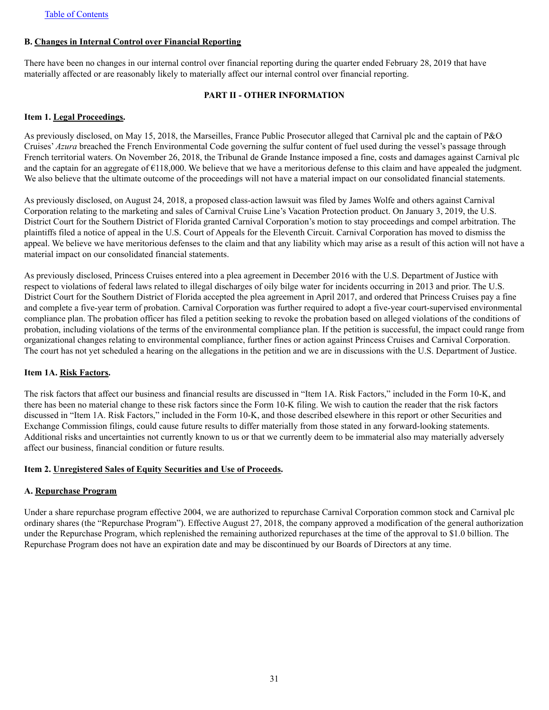### <span id="page-30-0"></span>**B. Changes in Internal Control over Financial Reporting**

There have been no changes in our internal control over financial reporting during the quarter ended February 28, 2019 that have materially affected or are reasonably likely to materially affect our internal control over financial reporting.

#### **PART II - OTHER INFORMATION**

#### **Item 1. Legal Proceedings.**

As previously disclosed, on May 15, 2018, the Marseilles, France Public Prosecutor alleged that Carnival plc and the captain of P&O Cruises' *Azura* breached the French Environmental Code governing the sulfur content of fuel used during the vessel's passage through French territorial waters. On November 26, 2018, the Tribunal de Grande Instance imposed a fine, costs and damages against Carnival plc and the captain for an aggregate of  $\epsilon$ 118,000. We believe that we have a meritorious defense to this claim and have appealed the judgment. We also believe that the ultimate outcome of the proceedings will not have a material impact on our consolidated financial statements.

As previously disclosed, on August 24, 2018, a proposed class-action lawsuit was filed by James Wolfe and others against Carnival Corporation relating to the marketing and sales of Carnival Cruise Line's Vacation Protection product. On January 3, 2019, the U.S. District Court for the Southern District of Florida granted Carnival Corporation's motion to stay proceedings and compel arbitration. The plaintiffs filed a notice of appeal in the U.S. Court of Appeals for the Eleventh Circuit. Carnival Corporation has moved to dismiss the appeal. We believe we have meritorious defenses to the claim and that any liability which may arise as a result of this action will not have a material impact on our consolidated financial statements.

As previously disclosed, Princess Cruises entered into a plea agreement in December 2016 with the U.S. Department of Justice with respect to violations of federal laws related to illegal discharges of oily bilge water for incidents occurring in 2013 and prior. The U.S. District Court for the Southern District of Florida accepted the plea agreement in April 2017, and ordered that Princess Cruises pay a fine and complete a five-year term of probation. Carnival Corporation was further required to adopt a five-year court-supervised environmental compliance plan. The probation officer has filed a petition seeking to revoke the probation based on alleged violations of the conditions of probation, including violations of the terms of the environmental compliance plan. If the petition is successful, the impact could range from organizational changes relating to environmental compliance, further fines or action against Princess Cruises and Carnival Corporation. The court has not yet scheduled a hearing on the allegations in the petition and we are in discussions with the U.S. Department of Justice.

#### **Item 1A. Risk Factors.**

The risk factors that affect our business and financial results are discussed in "Item 1A. Risk Factors," included in the Form 10-K, and there has been no material change to these risk factors since the Form 10-K filing. We wish to caution the reader that the risk factors discussed in "Item 1A. Risk Factors," included in the Form 10-K, and those described elsewhere in this report or other Securities and Exchange Commission filings, could cause future results to differ materially from those stated in any forward-looking statements. Additional risks and uncertainties not currently known to us or that we currently deem to be immaterial also may materially adversely affect our business, financial condition or future results.

#### **Item 2. Unregistered Sales of Equity Securities and Use of Proceeds.**

#### **A. Repurchase Program**

Under a share repurchase program effective 2004, we are authorized to repurchase Carnival Corporation common stock and Carnival plc ordinary shares (the "Repurchase Program"). Effective August 27, 2018, the company approved a modification of the general authorization under the Repurchase Program, which replenished the remaining authorized repurchases at the time of the approval to \$1.0 billion. The Repurchase Program does not have an expiration date and may be discontinued by our Boards of Directors at any time.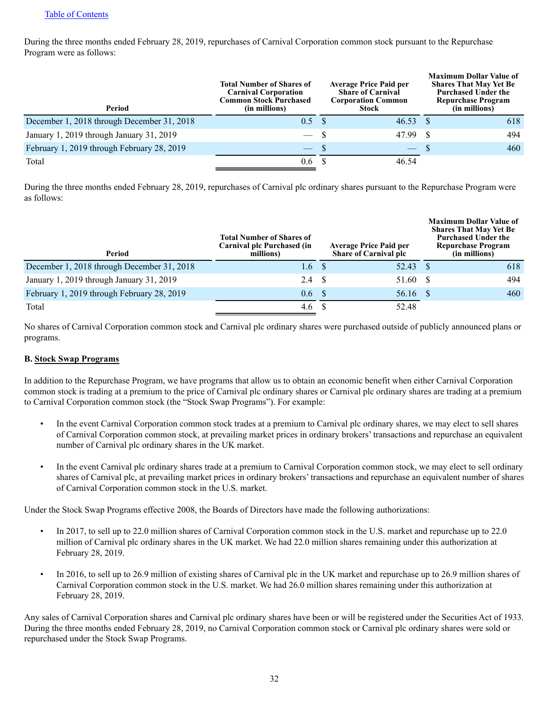During the three months ended February 28, 2019, repurchases of Carnival Corporation common stock pursuant to the Repurchase Program were as follows:

| Period                                     | <b>Total Number of Shares of</b><br><b>Carnival Corporation</b><br><b>Common Stock Purchased</b><br>(in millions) | <b>Average Price Paid per</b><br><b>Share of Carnival</b><br>Corporation Common<br><b>Stock</b> |     | <b>Maximum Dollar Value of</b><br><b>Shares That May Yet Be</b><br><b>Purchased Under the</b><br><b>Repurchase Program</b><br>(in millions) |
|--------------------------------------------|-------------------------------------------------------------------------------------------------------------------|-------------------------------------------------------------------------------------------------|-----|---------------------------------------------------------------------------------------------------------------------------------------------|
| December 1, 2018 through December 31, 2018 | 0.5                                                                                                               | 46.53                                                                                           | - S | 618                                                                                                                                         |
| January 1, 2019 through January 31, 2019   | $-$ S                                                                                                             | 47.99                                                                                           | - 8 | 494                                                                                                                                         |
| February 1, 2019 through February 28, 2019 | $-$ \$                                                                                                            | $-$ S                                                                                           |     | 460                                                                                                                                         |
| Total                                      | 0.6                                                                                                               | 46.54                                                                                           |     |                                                                                                                                             |

During the three months ended February 28, 2019, repurchases of Carnival plc ordinary shares pursuant to the Repurchase Program were as follows:

| Period                                     | <b>Total Number of Shares of</b><br>Carnival plc Purchased (in<br>millions) | <b>Average Price Paid per</b><br><b>Share of Carnival plc</b> |     | <b>Maximum Dollar Value of</b><br><b>Shares That May Yet Be</b><br><b>Purchased Under the</b><br>Repurchase Program<br>(in millions) |
|--------------------------------------------|-----------------------------------------------------------------------------|---------------------------------------------------------------|-----|--------------------------------------------------------------------------------------------------------------------------------------|
| December 1, 2018 through December 31, 2018 | 1.6                                                                         | 52.43                                                         |     | 618                                                                                                                                  |
| January 1, 2019 through January 31, 2019   | $2.4 \quad$                                                                 | 51.60                                                         | -8  | 494                                                                                                                                  |
| February 1, 2019 through February 28, 2019 | 0.6 <sup>°</sup>                                                            | 56.16                                                         | - S | 460                                                                                                                                  |
| Total                                      | 4.6                                                                         | 52.48                                                         |     |                                                                                                                                      |

No shares of Carnival Corporation common stock and Carnival plc ordinary shares were purchased outside of publicly announced plans or programs.

#### **B. Stock Swap Programs**

In addition to the Repurchase Program, we have programs that allow us to obtain an economic benefit when either Carnival Corporation common stock is trading at a premium to the price of Carnival plc ordinary shares or Carnival plc ordinary shares are trading at a premium to Carnival Corporation common stock (the "Stock Swap Programs"). For example:

- In the event Carnival Corporation common stock trades at a premium to Carnival plc ordinary shares, we may elect to sell shares of Carnival Corporation common stock, at prevailing market prices in ordinary brokers' transactions and repurchase an equivalent number of Carnival plc ordinary shares in the UK market.
- In the event Carnival plc ordinary shares trade at a premium to Carnival Corporation common stock, we may elect to sell ordinary shares of Carnival plc, at prevailing market prices in ordinary brokers' transactions and repurchase an equivalent number of shares of Carnival Corporation common stock in the U.S. market.

Under the Stock Swap Programs effective 2008, the Boards of Directors have made the following authorizations:

- In 2017, to sell up to 22.0 million shares of Carnival Corporation common stock in the U.S. market and repurchase up to 22.0 million of Carnival plc ordinary shares in the UK market. We had 22.0 million shares remaining under this authorization at February 28, 2019.
- In 2016, to sell up to 26.9 million of existing shares of Carnival plc in the UK market and repurchase up to 26.9 million shares of Carnival Corporation common stock in the U.S. market. We had 26.0 million shares remaining under this authorization at February 28, 2019.

Any sales of Carnival Corporation shares and Carnival plc ordinary shares have been or will be registered under the Securities Act of 1933. During the three months ended February 28, 2019, no Carnival Corporation common stock or Carnival plc ordinary shares were sold or repurchased under the Stock Swap Programs.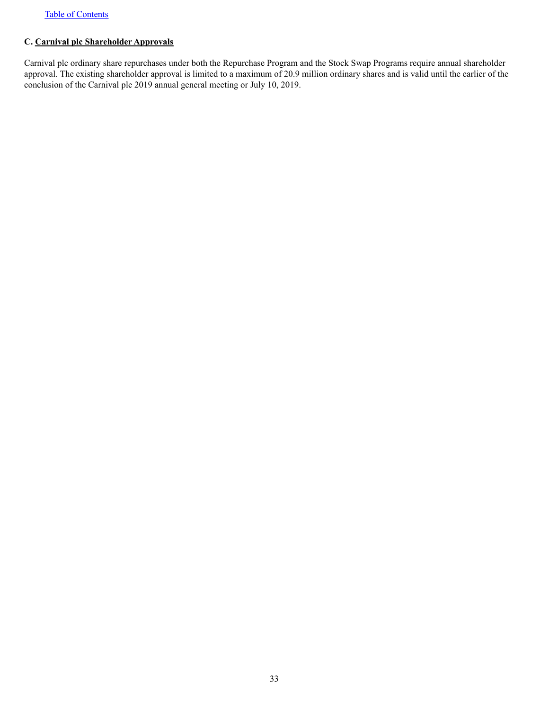# **C. Carnival plc Shareholder Approvals**

Carnival plc ordinary share repurchases under both the Repurchase Program and the Stock Swap Programs require annual shareholder approval. The existing shareholder approval is limited to a maximum of 20.9 million ordinary shares and is valid until the earlier of the conclusion of the Carnival plc 2019 annual general meeting or July 10, 2019.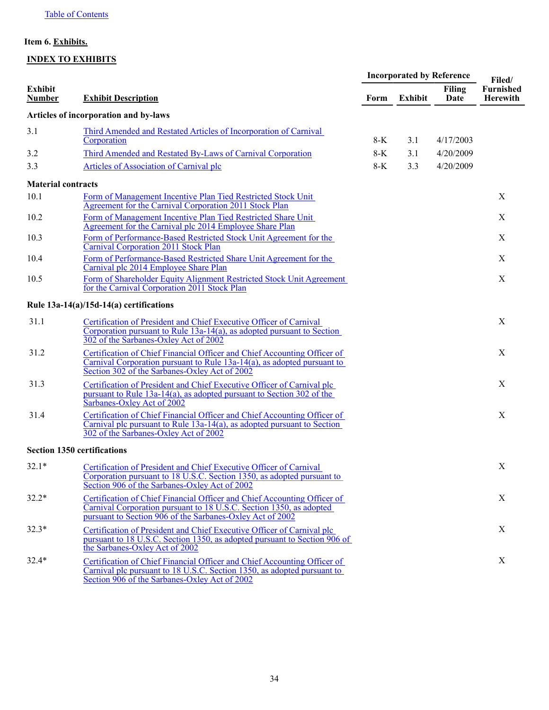# <span id="page-33-0"></span>**Item 6. Exhibits.**

# **INDEX TO EXHIBITS**

|                                 |                                                                                                                                                                                                              | <b>Incorporated by Reference</b> | Filed/         |                       |                                     |
|---------------------------------|--------------------------------------------------------------------------------------------------------------------------------------------------------------------------------------------------------------|----------------------------------|----------------|-----------------------|-------------------------------------|
| <b>Exhibit</b><br><b>Number</b> | <b>Exhibit Description</b>                                                                                                                                                                                   | Form                             | <b>Exhibit</b> | <b>Filing</b><br>Date | <b>Furnished</b><br><b>Herewith</b> |
|                                 | Articles of incorporation and by-laws                                                                                                                                                                        |                                  |                |                       |                                     |
| 3.1                             | Third Amended and Restated Articles of Incorporation of Carnival<br>Corporation                                                                                                                              | $8-K$                            | 3.1            | 4/17/2003             |                                     |
| 3.2                             | Third Amended and Restated By-Laws of Carnival Corporation                                                                                                                                                   | $8-K$                            | 3.1            | 4/20/2009             |                                     |
| 3.3                             | Articles of Association of Carnival plc                                                                                                                                                                      | $8-K$                            | 3.3            | 4/20/2009             |                                     |
| <b>Material contracts</b>       |                                                                                                                                                                                                              |                                  |                |                       |                                     |
| 10.1                            | Form of Management Incentive Plan Tied Restricted Stock Unit<br>Agreement for the Carnival Corporation 2011 Stock Plan                                                                                       |                                  |                |                       | $\mathbf X$                         |
| 10.2                            | Form of Management Incentive Plan Tied Restricted Share Unit<br>Agreement for the Carnival plc 2014 Employee Share Plan                                                                                      |                                  |                |                       | $\mathbf X$                         |
| 10.3                            | Form of Performance-Based Restricted Stock Unit Agreement for the<br><b>Carnival Corporation 2011 Stock Plan</b>                                                                                             |                                  |                |                       | $\mathbf X$                         |
| 10.4                            | Form of Performance-Based Restricted Share Unit Agreement for the<br>Carnival plc 2014 Employee Share Plan                                                                                                   |                                  |                |                       | X                                   |
| 10.5                            | Form of Shareholder Equity Alignment Restricted Stock Unit Agreement<br>for the Carnival Corporation 2011 Stock Plan                                                                                         |                                  |                |                       | X                                   |
|                                 | Rule $13a-14(a)/15d-14(a)$ certifications                                                                                                                                                                    |                                  |                |                       |                                     |
| 31.1                            | Certification of President and Chief Executive Officer of Carnival<br>Corporation pursuant to Rule $13a-14(a)$ , as adopted pursuant to Section<br>302 of the Sarbanes-Oxley Act of 2002                     |                                  |                |                       | X                                   |
| 31.2                            | Certification of Chief Financial Officer and Chief Accounting Officer of<br>Carnival Corporation pursuant to Rule $13a-14(a)$ , as adopted pursuant to<br>Section 302 of the Sarbanes-Oxley Act of 2002      |                                  |                |                       | $\mathbf X$                         |
| 31.3                            | Certification of President and Chief Executive Officer of Carnival plc<br>pursuant to Rule 13a-14(a), as adopted pursuant to Section 302 of the<br>Sarbanes-Oxley Act of 2002                                |                                  |                |                       | $\mathbf X$                         |
| 31.4                            | Certification of Chief Financial Officer and Chief Accounting Officer of<br>Carnival plc pursuant to Rule $13a-14(a)$ , as adopted pursuant to Section<br>302 of the Sarbanes-Oxley Act of 2002              |                                  |                |                       | $\mathbf X$                         |
|                                 | <b>Section 1350 certifications</b>                                                                                                                                                                           |                                  |                |                       |                                     |
| $32.1*$                         | Certification of President and Chief Executive Officer of Carnival<br>Corporation pursuant to 18 U.S.C. Section 1350, as adopted pursuant to<br>Section 906 of the Sarbanes-Oxley Act of 2002                |                                  |                |                       | X                                   |
| $32.2*$                         | Certification of Chief Financial Officer and Chief Accounting Officer of<br>Carnival Corporation pursuant to 18 U.S.C. Section 1350, as adopted<br>pursuant to Section 906 of the Sarbanes-Oxley Act of 2002 |                                  |                |                       | X                                   |
| $32.3*$                         | Certification of President and Chief Executive Officer of Carnival plc<br>pursuant to 18 U.S.C. Section 1350, as adopted pursuant to Section 906 of<br>the Sarbanes-Oxley Act of 2002                        |                                  |                |                       | X                                   |
| $32.4*$                         | Certification of Chief Financial Officer and Chief Accounting Officer of<br>Carnival plc pursuant to 18 U.S.C. Section 1350, as adopted pursuant to<br>Section 906 of the Sarbanes-Oxley Act of 2002         |                                  |                |                       | X                                   |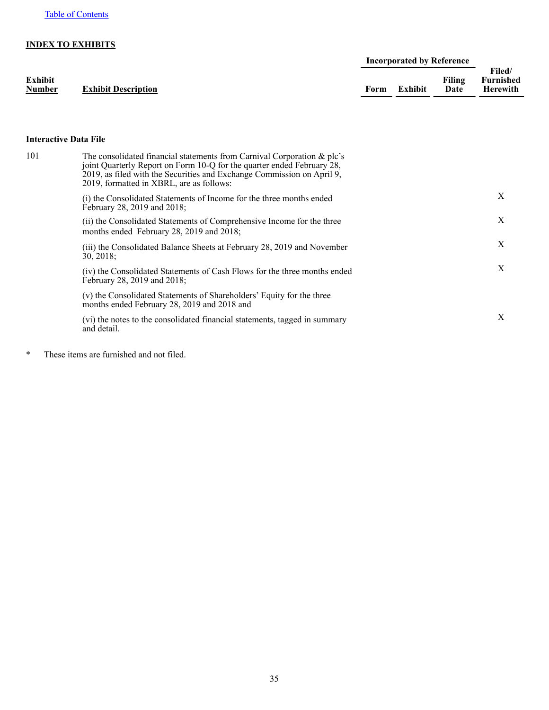# **INDEX TO EXHIBITS**

|                          |                            | <b>Incorporated by Reference</b>  |                                        |
|--------------------------|----------------------------|-----------------------------------|----------------------------------------|
| Exhibit<br><b>Number</b> | <b>Exhibit Description</b> | Filing<br>Exhibit<br>Form<br>Date | Filed/<br>Furnished<br><b>Herewith</b> |

#### **Interactive Data File**

| 101 | The consolidated financial statements from Carnival Corporation $\&$ plc's<br>joint Quarterly Report on Form 10-Q for the quarter ended February 28,<br>2019, as filed with the Securities and Exchange Commission on April 9,<br>2019, formatted in XBRL, are as follows: |   |
|-----|----------------------------------------------------------------------------------------------------------------------------------------------------------------------------------------------------------------------------------------------------------------------------|---|
|     | (i) the Consolidated Statements of Income for the three months ended<br>February 28, 2019 and 2018;                                                                                                                                                                        | X |
|     | (ii) the Consolidated Statements of Comprehensive Income for the three<br>months ended February 28, 2019 and 2018;                                                                                                                                                         | X |
|     | (iii) the Consolidated Balance Sheets at February 28, 2019 and November<br>$30, 2018$ ;                                                                                                                                                                                    | X |
|     | (iv) the Consolidated Statements of Cash Flows for the three months ended<br>February 28, 2019 and 2018;                                                                                                                                                                   | X |
|     | (v) the Consolidated Statements of Shareholders' Equity for the three<br>months ended February 28, 2019 and 2018 and                                                                                                                                                       |   |
|     | (vi) the notes to the consolidated financial statements, tagged in summary<br>and detail.                                                                                                                                                                                  | X |

\* These items are furnished and not filed.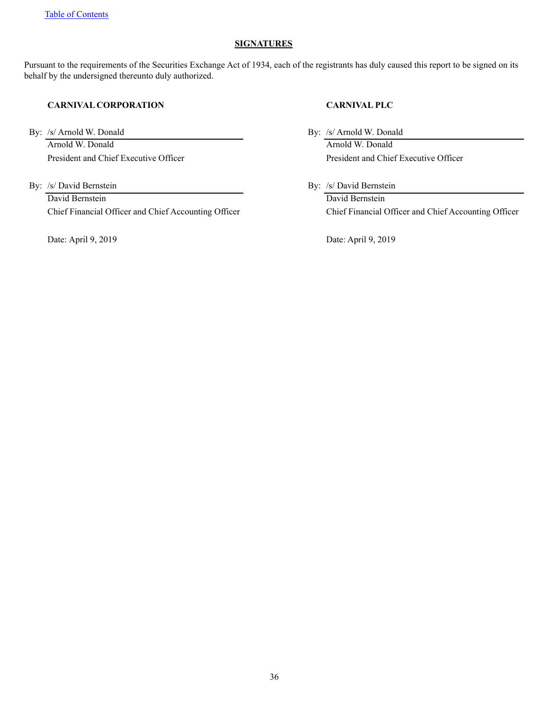# **SIGNATURES**

<span id="page-35-0"></span>Pursuant to the requirements of the Securities Exchange Act of 1934, each of the registrants has duly caused this report to be signed on its behalf by the undersigned thereunto duly authorized.

# **CARNIVAL CORPORATION CARNIVAL PLC**

Arnold W. Donald **Arnold W. Donald** 

David Bernstein David Bernstein

Date: April 9, 2019 Date: April 9, 2019

By: /s/ Arnold W. Donald By: /s/ Arnold W. Donald

President and Chief Executive Officer President and Chief Executive Officer

By: /s/ David Bernstein By: /s/ David Bernstein

Chief Financial Officer and Chief Accounting Officer Chief Financial Officer and Chief Accounting Officer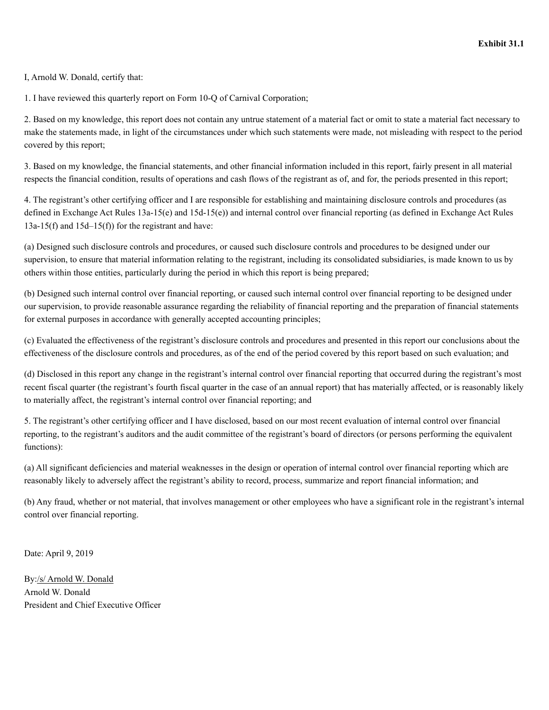I, Arnold W. Donald, certify that:

1. I have reviewed this quarterly report on Form 10-Q of Carnival Corporation;

2. Based on my knowledge, this report does not contain any untrue statement of a material fact or omit to state a material fact necessary to make the statements made, in light of the circumstances under which such statements were made, not misleading with respect to the period covered by this report;

3. Based on my knowledge, the financial statements, and other financial information included in this report, fairly present in all material respects the financial condition, results of operations and cash flows of the registrant as of, and for, the periods presented in this report;

4. The registrant's other certifying officer and I are responsible for establishing and maintaining disclosure controls and procedures (as defined in Exchange Act Rules 13a-15(e) and 15d-15(e)) and internal control over financial reporting (as defined in Exchange Act Rules 13a-15(f) and 15d $-15(f)$  for the registrant and have:

(a) Designed such disclosure controls and procedures, or caused such disclosure controls and procedures to be designed under our supervision, to ensure that material information relating to the registrant, including its consolidated subsidiaries, is made known to us by others within those entities, particularly during the period in which this report is being prepared;

(b) Designed such internal control over financial reporting, or caused such internal control over financial reporting to be designed under our supervision, to provide reasonable assurance regarding the reliability of financial reporting and the preparation of financial statements for external purposes in accordance with generally accepted accounting principles;

(c) Evaluated the effectiveness of the registrant's disclosure controls and procedures and presented in this report our conclusions about the effectiveness of the disclosure controls and procedures, as of the end of the period covered by this report based on such evaluation; and

(d) Disclosed in this report any change in the registrant's internal control over financial reporting that occurred during the registrant's most recent fiscal quarter (the registrant's fourth fiscal quarter in the case of an annual report) that has materially affected, or is reasonably likely to materially affect, the registrant's internal control over financial reporting; and

5. The registrant's other certifying officer and I have disclosed, based on our most recent evaluation of internal control over financial reporting, to the registrant's auditors and the audit committee of the registrant's board of directors (or persons performing the equivalent functions):

(a) All significant deficiencies and material weaknesses in the design or operation of internal control over financial reporting which are reasonably likely to adversely affect the registrant's ability to record, process, summarize and report financial information; and

(b) Any fraud, whether or not material, that involves management or other employees who have a significant role in the registrant's internal control over financial reporting.

Date: April 9, 2019

By:/s/ Arnold W. Donald Arnold W. Donald President and Chief Executive Officer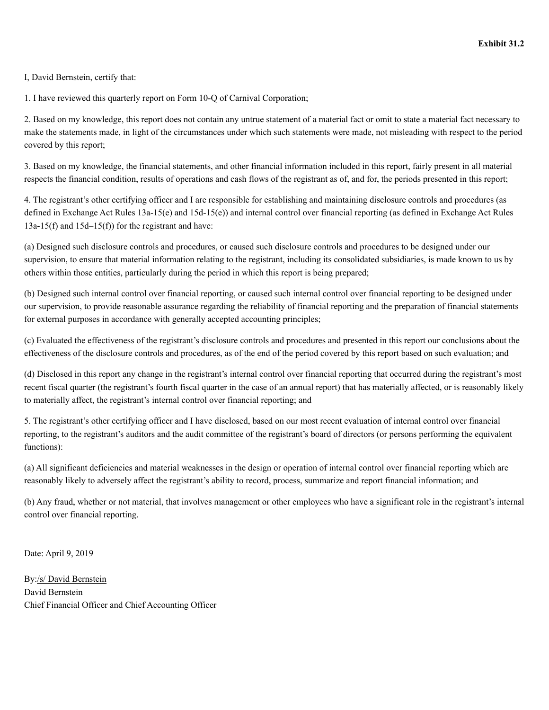I, David Bernstein, certify that:

1. I have reviewed this quarterly report on Form 10-Q of Carnival Corporation;

2. Based on my knowledge, this report does not contain any untrue statement of a material fact or omit to state a material fact necessary to make the statements made, in light of the circumstances under which such statements were made, not misleading with respect to the period covered by this report;

3. Based on my knowledge, the financial statements, and other financial information included in this report, fairly present in all material respects the financial condition, results of operations and cash flows of the registrant as of, and for, the periods presented in this report;

4. The registrant's other certifying officer and I are responsible for establishing and maintaining disclosure controls and procedures (as defined in Exchange Act Rules 13a-15(e) and 15d-15(e)) and internal control over financial reporting (as defined in Exchange Act Rules 13a-15(f) and 15d $-15(f)$  for the registrant and have:

(a) Designed such disclosure controls and procedures, or caused such disclosure controls and procedures to be designed under our supervision, to ensure that material information relating to the registrant, including its consolidated subsidiaries, is made known to us by others within those entities, particularly during the period in which this report is being prepared;

(b) Designed such internal control over financial reporting, or caused such internal control over financial reporting to be designed under our supervision, to provide reasonable assurance regarding the reliability of financial reporting and the preparation of financial statements for external purposes in accordance with generally accepted accounting principles;

(c) Evaluated the effectiveness of the registrant's disclosure controls and procedures and presented in this report our conclusions about the effectiveness of the disclosure controls and procedures, as of the end of the period covered by this report based on such evaluation; and

(d) Disclosed in this report any change in the registrant's internal control over financial reporting that occurred during the registrant's most recent fiscal quarter (the registrant's fourth fiscal quarter in the case of an annual report) that has materially affected, or is reasonably likely to materially affect, the registrant's internal control over financial reporting; and

5. The registrant's other certifying officer and I have disclosed, based on our most recent evaluation of internal control over financial reporting, to the registrant's auditors and the audit committee of the registrant's board of directors (or persons performing the equivalent functions):

(a) All significant deficiencies and material weaknesses in the design or operation of internal control over financial reporting which are reasonably likely to adversely affect the registrant's ability to record, process, summarize and report financial information; and

(b) Any fraud, whether or not material, that involves management or other employees who have a significant role in the registrant's internal control over financial reporting.

Date: April 9, 2019

By:/s/ David Bernstein David Bernstein Chief Financial Officer and Chief Accounting Officer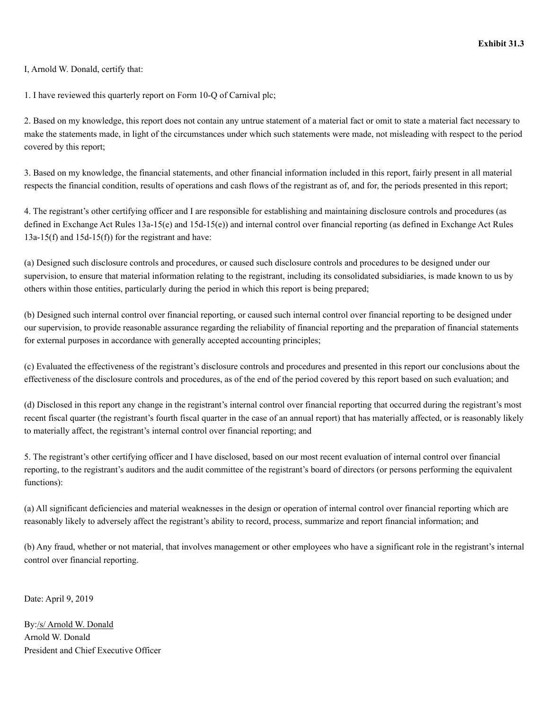I, Arnold W. Donald, certify that:

1. I have reviewed this quarterly report on Form 10-Q of Carnival plc;

2. Based on my knowledge, this report does not contain any untrue statement of a material fact or omit to state a material fact necessary to make the statements made, in light of the circumstances under which such statements were made, not misleading with respect to the period covered by this report;

3. Based on my knowledge, the financial statements, and other financial information included in this report, fairly present in all material respects the financial condition, results of operations and cash flows of the registrant as of, and for, the periods presented in this report;

4. The registrant's other certifying officer and I are responsible for establishing and maintaining disclosure controls and procedures (as defined in Exchange Act Rules 13a-15(e) and 15d-15(e)) and internal control over financial reporting (as defined in Exchange Act Rules 13a-15(f) and 15d-15(f)) for the registrant and have:

(a) Designed such disclosure controls and procedures, or caused such disclosure controls and procedures to be designed under our supervision, to ensure that material information relating to the registrant, including its consolidated subsidiaries, is made known to us by others within those entities, particularly during the period in which this report is being prepared;

(b) Designed such internal control over financial reporting, or caused such internal control over financial reporting to be designed under our supervision, to provide reasonable assurance regarding the reliability of financial reporting and the preparation of financial statements for external purposes in accordance with generally accepted accounting principles;

(c) Evaluated the effectiveness of the registrant's disclosure controls and procedures and presented in this report our conclusions about the effectiveness of the disclosure controls and procedures, as of the end of the period covered by this report based on such evaluation; and

(d) Disclosed in this report any change in the registrant's internal control over financial reporting that occurred during the registrant's most recent fiscal quarter (the registrant's fourth fiscal quarter in the case of an annual report) that has materially affected, or is reasonably likely to materially affect, the registrant's internal control over financial reporting; and

5. The registrant's other certifying officer and I have disclosed, based on our most recent evaluation of internal control over financial reporting, to the registrant's auditors and the audit committee of the registrant's board of directors (or persons performing the equivalent functions):

(a) All significant deficiencies and material weaknesses in the design or operation of internal control over financial reporting which are reasonably likely to adversely affect the registrant's ability to record, process, summarize and report financial information; and

(b) Any fraud, whether or not material, that involves management or other employees who have a significant role in the registrant's internal control over financial reporting.

Date: April 9, 2019

By:/s/ Arnold W. Donald Arnold W. Donald President and Chief Executive Officer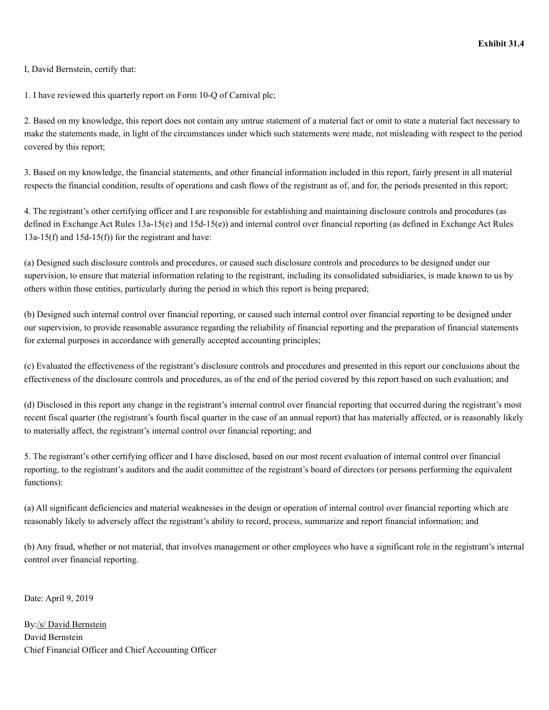#### I, David Bernstein, certify that:

1. I have reviewed this quarterly report on Form 10-Q of Carnival plc;

2. Based on my knowledge, this report does not contain any untrue statement of a material fact or omit to state a material fact necessary to make the statements made, in light of the circumstances under which such statements were made, not misleading with respect to the period covered by this report;

3. Based on my knowledge, the financial statements, and other financial information included in this report, fairly present in all material respects the financial condition, results of operations and cash flows of the registrant as of, and for, the periods presented in this report;

4. The registrant's other certifying officer and I are responsible for establishing and maintaining disclosure controls and procedures (as defined in Exchange Act Rules 13a-15(e) and 15d-15(e)) and internal control over financial reporting (as defined in Exchange Act Rules 13a-15(f) and 15d-15(f)) for the registrant and have:

(a) Designed such disclosure controls and procedures, or caused such disclosure controls and procedures to be designed under our supervision, to ensure that material information relating to the registrant, including its consolidated subsidiaries, is made known to us by others within those entities, particularly during the period in which this report is being prepared;

(b) Designed such internal control over financial reporting, or caused such internal control over financial reporting to be designed under our supervision, to provide reasonable assurance regarding the reliability of financial reporting and the preparation of financial statements for external purposes in accordance with generally accepted accounting principles;

(c) Evaluated the effectiveness of the registrant's disclosure controls and procedures and presented in this report our conclusions about the effectiveness of the disclosure controls and procedures, as of the end of the period covered by this report based on such evaluation; and

(d) Disclosed in this report any change in the registrant's internal control over financial reporting that occurred during the registrant's most recent fiscal quarter (the registrant's fourth fiscal quarter in the case of an annual report) that has materially affected, or is reasonably likely to materially affect, the registrant's internal control over financial reporting; and

5. The registrant's other certifying officer and I have disclosed, based on our most recent evaluation of internal control over financial reporting, to the registrant's auditors and the audit committee of the registrant's board of directors (or persons performing the equivalent functions):

(a) All significant deficiencies and material weaknesses in the design or operation of internal control over financial reporting which are reasonably likely to adversely affect the registrant's ability to record, process, summarize and report financial information; and

(b) Any fraud, whether or not material, that involves management or other employees who have a significant role in the registrant's internal control over financial reporting.

Date: April 9, 2019

By:/s/ David Bernstein David Bernstein Chief Financial Officer and Chief Accounting Officer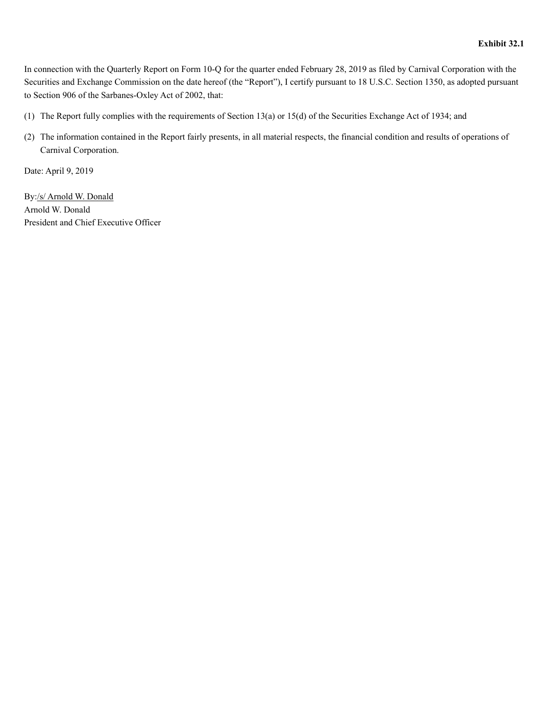In connection with the Quarterly Report on Form 10-Q for the quarter ended February 28, 2019 as filed by Carnival Corporation with the Securities and Exchange Commission on the date hereof (the "Report"), I certify pursuant to 18 U.S.C. Section 1350, as adopted pursuant to Section 906 of the Sarbanes-Oxley Act of 2002, that:

- (1) The Report fully complies with the requirements of Section 13(a) or 15(d) of the Securities Exchange Act of 1934; and
- (2) The information contained in the Report fairly presents, in all material respects, the financial condition and results of operations of Carnival Corporation.

Date: April 9, 2019

By:/s/ Arnold W. Donald Arnold W. Donald President and Chief Executive Officer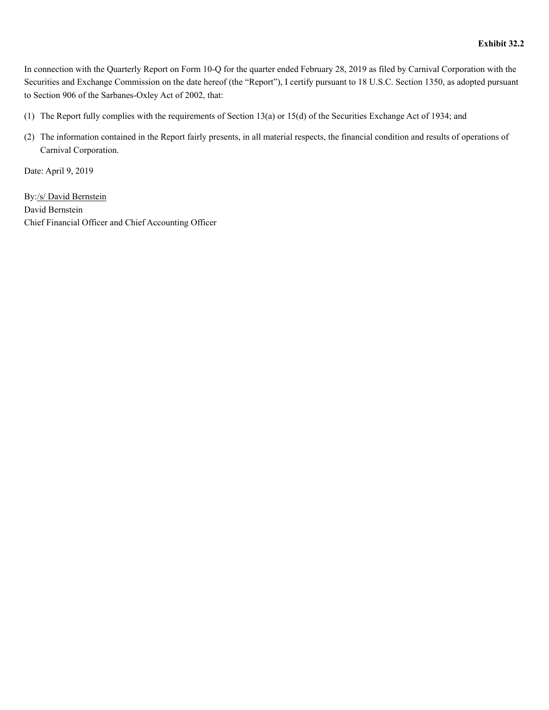In connection with the Quarterly Report on Form 10-Q for the quarter ended February 28, 2019 as filed by Carnival Corporation with the Securities and Exchange Commission on the date hereof (the "Report"), I certify pursuant to 18 U.S.C. Section 1350, as adopted pursuant to Section 906 of the Sarbanes-Oxley Act of 2002, that:

- (1) The Report fully complies with the requirements of Section 13(a) or 15(d) of the Securities Exchange Act of 1934; and
- (2) The information contained in the Report fairly presents, in all material respects, the financial condition and results of operations of Carnival Corporation.

Date: April 9, 2019

By:/s/ David Bernstein David Bernstein Chief Financial Officer and Chief Accounting Officer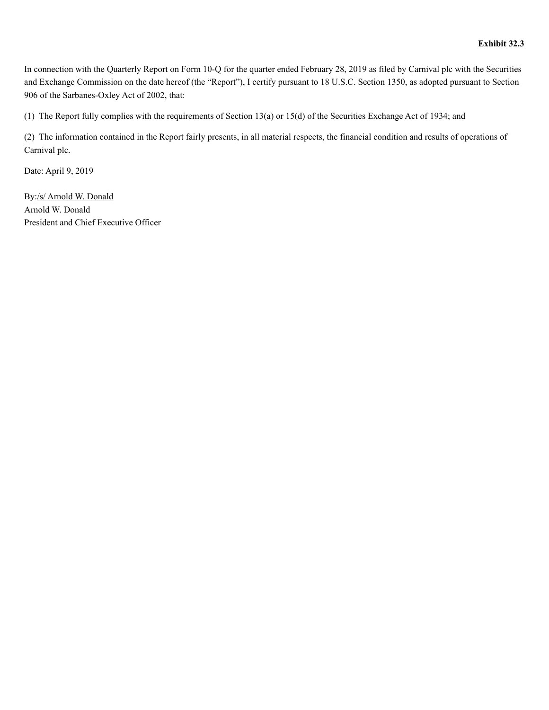In connection with the Quarterly Report on Form 10-Q for the quarter ended February 28, 2019 as filed by Carnival plc with the Securities and Exchange Commission on the date hereof (the "Report"), I certify pursuant to 18 U.S.C. Section 1350, as adopted pursuant to Section 906 of the Sarbanes-Oxley Act of 2002, that:

(1) The Report fully complies with the requirements of Section 13(a) or 15(d) of the Securities Exchange Act of 1934; and

(2) The information contained in the Report fairly presents, in all material respects, the financial condition and results of operations of Carnival plc.

Date: April 9, 2019

By:/s/ Arnold W. Donald Arnold W. Donald President and Chief Executive Officer